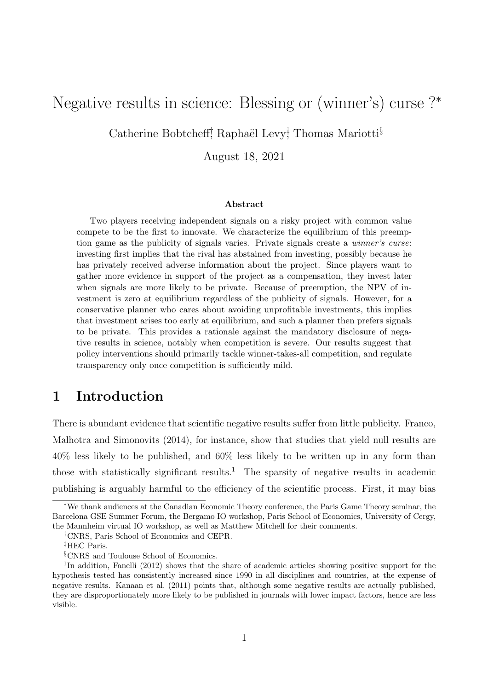# Negative results in science: Blessing or (winner's) curse ?<sup>∗</sup>

Catherine Bobtcheff, Raphaël Levy<sup>†</sup>, Thomas Mariotti<sup>§</sup>

August 18, 2021

#### Abstract

Two players receiving independent signals on a risky project with common value compete to be the first to innovate. We characterize the equilibrium of this preemption game as the publicity of signals varies. Private signals create a winner's curse: investing first implies that the rival has abstained from investing, possibly because he has privately received adverse information about the project. Since players want to gather more evidence in support of the project as a compensation, they invest later when signals are more likely to be private. Because of preemption, the NPV of investment is zero at equilibrium regardless of the publicity of signals. However, for a conservative planner who cares about avoiding unprofitable investments, this implies that investment arises too early at equilibrium, and such a planner then prefers signals to be private. This provides a rationale against the mandatory disclosure of negative results in science, notably when competition is severe. Our results suggest that policy interventions should primarily tackle winner-takes-all competition, and regulate transparency only once competition is sufficiently mild.

### 1 Introduction

There is abundant evidence that scientific negative results suffer from little publicity. Franco, Malhotra and Simonovits (2014), for instance, show that studies that yield null results are 40% less likely to be published, and 60% less likely to be written up in any form than those with statistically significant  $results<sup>1</sup>$ . The sparsity of negative results in academic publishing is arguably harmful to the efficiency of the scientific process. First, it may bias

<sup>∗</sup>We thank audiences at the Canadian Economic Theory conference, the Paris Game Theory seminar, the Barcelona GSE Summer Forum, the Bergamo IO workshop, Paris School of Economics, University of Cergy, the Mannheim virtual IO workshop, as well as Matthew Mitchell for their comments.

<sup>†</sup>CNRS, Paris School of Economics and CEPR.

<sup>‡</sup>HEC Paris.

<sup>§</sup>CNRS and Toulouse School of Economics.

<sup>&</sup>lt;sup>1</sup>In addition, Fanelli (2012) shows that the share of academic articles showing positive support for the hypothesis tested has consistently increased since 1990 in all disciplines and countries, at the expense of negative results. Kanaan et al. (2011) points that, although some negative results are actually published, they are disproportionately more likely to be published in journals with lower impact factors, hence are less visible.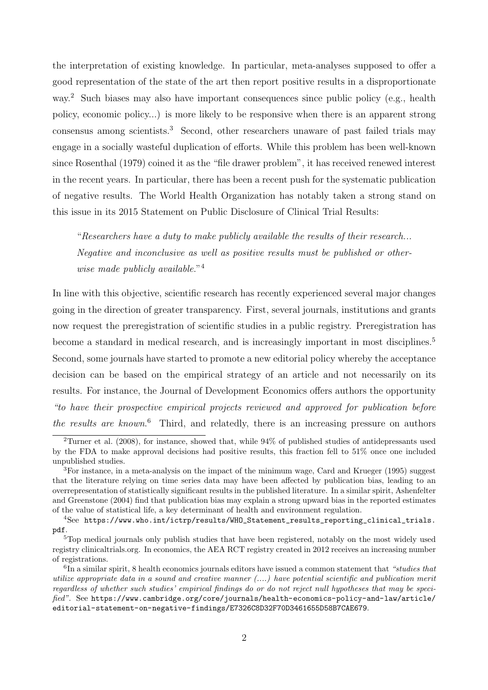the interpretation of existing knowledge. In particular, meta-analyses supposed to offer a good representation of the state of the art then report positive results in a disproportionate way.<sup>2</sup> Such biases may also have important consequences since public policy (e.g., health policy, economic policy...) is more likely to be responsive when there is an apparent strong consensus among scientists.<sup>3</sup> Second, other researchers unaware of past failed trials may engage in a socially wasteful duplication of efforts. While this problem has been well-known since Rosenthal (1979) coined it as the "file drawer problem", it has received renewed interest in the recent years. In particular, there has been a recent push for the systematic publication of negative results. The World Health Organization has notably taken a strong stand on this issue in its 2015 Statement on Public Disclosure of Clinical Trial Results:

"Researchers have a duty to make publicly available the results of their research... Negative and inconclusive as well as positive results must be published or otherwise made publicly available."<sup>4</sup>

In line with this objective, scientific research has recently experienced several major changes going in the direction of greater transparency. First, several journals, institutions and grants now request the preregistration of scientific studies in a public registry. Preregistration has become a standard in medical research, and is increasingly important in most disciplines.<sup>5</sup> Second, some journals have started to promote a new editorial policy whereby the acceptance decision can be based on the empirical strategy of an article and not necessarily on its results. For instance, the Journal of Development Economics offers authors the opportunity "to have their prospective empirical projects reviewed and approved for publication before the results are known.<sup>6</sup> Third, and relatedly, there is an increasing pressure on authors

<sup>&</sup>lt;sup>2</sup>Turner et al. (2008), for instance, showed that, while  $94\%$  of published studies of antidepressants used by the FDA to make approval decisions had positive results, this fraction fell to 51% once one included unpublished studies.

<sup>3</sup>For instance, in a meta-analysis on the impact of the minimum wage, Card and Krueger (1995) suggest that the literature relying on time series data may have been affected by publication bias, leading to an overrepresentation of statistically significant results in the published literature. In a similar spirit, Ashenfelter and Greenstone (2004) find that publication bias may explain a strong upward bias in the reported estimates of the value of statistical life, a key determinant of health and environment regulation.

<sup>4</sup>See https://www.who.int/ictrp/results/WHO\_Statement\_results\_reporting\_clinical\_trials. pdf.

<sup>&</sup>lt;sup>5</sup>Top medical journals only publish studies that have been registered, notably on the most widely used registry clinicaltrials.org. In economics, the AEA RCT registry created in 2012 receives an increasing number of registrations.

 ${}^{6}$ In a similar spirit, 8 health economics journals editors have issued a common statement that "studies that utilize appropriate data in a sound and creative manner (....) have potential scientific and publication merit regardless of whether such studies' empirical findings do or do not reject null hypotheses that may be specified". See https://www.cambridge.org/core/journals/health-economics-policy-and-law/article/ editorial-statement-on-negative-findings/E7326C8D32F70D3461655D58B7CAE679.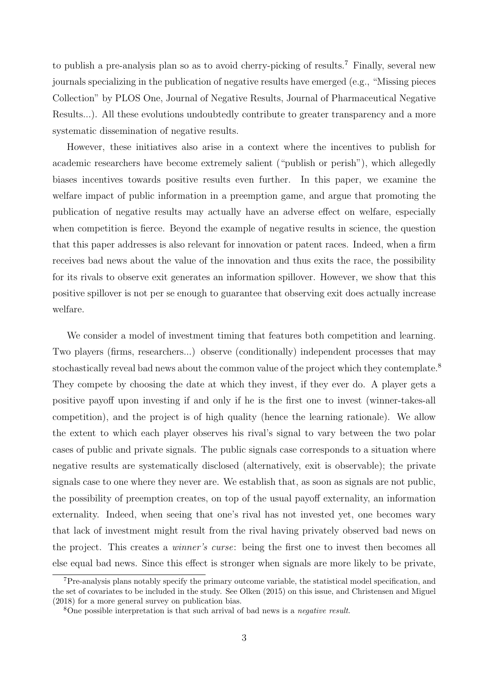to publish a pre-analysis plan so as to avoid cherry-picking of results.<sup>7</sup> Finally, several new journals specializing in the publication of negative results have emerged (e.g., "Missing pieces Collection" by PLOS One, Journal of Negative Results, Journal of Pharmaceutical Negative Results...). All these evolutions undoubtedly contribute to greater transparency and a more systematic dissemination of negative results.

However, these initiatives also arise in a context where the incentives to publish for academic researchers have become extremely salient ("publish or perish"), which allegedly biases incentives towards positive results even further. In this paper, we examine the welfare impact of public information in a preemption game, and argue that promoting the publication of negative results may actually have an adverse effect on welfare, especially when competition is fierce. Beyond the example of negative results in science, the question that this paper addresses is also relevant for innovation or patent races. Indeed, when a firm receives bad news about the value of the innovation and thus exits the race, the possibility for its rivals to observe exit generates an information spillover. However, we show that this positive spillover is not per se enough to guarantee that observing exit does actually increase welfare.

We consider a model of investment timing that features both competition and learning. Two players (firms, researchers...) observe (conditionally) independent processes that may stochastically reveal bad news about the common value of the project which they contemplate.<sup>8</sup> They compete by choosing the date at which they invest, if they ever do. A player gets a positive payoff upon investing if and only if he is the first one to invest (winner-takes-all competition), and the project is of high quality (hence the learning rationale). We allow the extent to which each player observes his rival's signal to vary between the two polar cases of public and private signals. The public signals case corresponds to a situation where negative results are systematically disclosed (alternatively, exit is observable); the private signals case to one where they never are. We establish that, as soon as signals are not public, the possibility of preemption creates, on top of the usual payoff externality, an information externality. Indeed, when seeing that one's rival has not invested yet, one becomes wary that lack of investment might result from the rival having privately observed bad news on the project. This creates a winner's curse: being the first one to invest then becomes all else equal bad news. Since this effect is stronger when signals are more likely to be private,

<sup>7</sup>Pre-analysis plans notably specify the primary outcome variable, the statistical model specification, and the set of covariates to be included in the study. See Olken (2015) on this issue, and Christensen and Miguel (2018) for a more general survey on publication bias.

<sup>&</sup>lt;sup>8</sup>One possible interpretation is that such arrival of bad news is a *negative result*.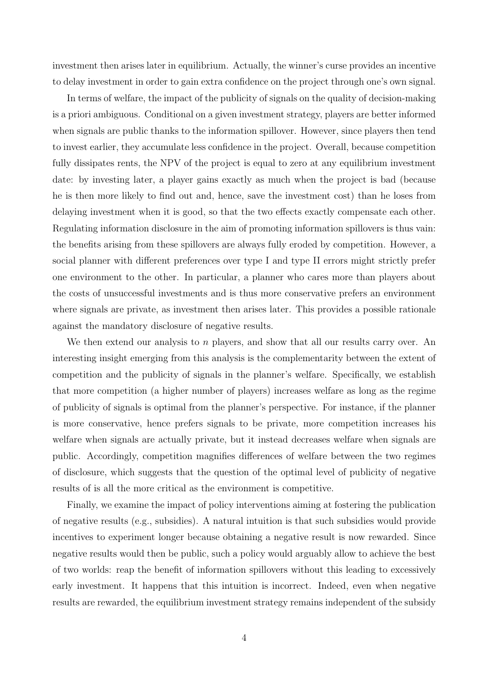investment then arises later in equilibrium. Actually, the winner's curse provides an incentive to delay investment in order to gain extra confidence on the project through one's own signal.

In terms of welfare, the impact of the publicity of signals on the quality of decision-making is a priori ambiguous. Conditional on a given investment strategy, players are better informed when signals are public thanks to the information spillover. However, since players then tend to invest earlier, they accumulate less confidence in the project. Overall, because competition fully dissipates rents, the NPV of the project is equal to zero at any equilibrium investment date: by investing later, a player gains exactly as much when the project is bad (because he is then more likely to find out and, hence, save the investment cost) than he loses from delaying investment when it is good, so that the two effects exactly compensate each other. Regulating information disclosure in the aim of promoting information spillovers is thus vain: the benefits arising from these spillovers are always fully eroded by competition. However, a social planner with different preferences over type I and type II errors might strictly prefer one environment to the other. In particular, a planner who cares more than players about the costs of unsuccessful investments and is thus more conservative prefers an environment where signals are private, as investment then arises later. This provides a possible rationale against the mandatory disclosure of negative results.

We then extend our analysis to n players, and show that all our results carry over. An interesting insight emerging from this analysis is the complementarity between the extent of competition and the publicity of signals in the planner's welfare. Specifically, we establish that more competition (a higher number of players) increases welfare as long as the regime of publicity of signals is optimal from the planner's perspective. For instance, if the planner is more conservative, hence prefers signals to be private, more competition increases his welfare when signals are actually private, but it instead decreases welfare when signals are public. Accordingly, competition magnifies differences of welfare between the two regimes of disclosure, which suggests that the question of the optimal level of publicity of negative results of is all the more critical as the environment is competitive.

Finally, we examine the impact of policy interventions aiming at fostering the publication of negative results (e.g., subsidies). A natural intuition is that such subsidies would provide incentives to experiment longer because obtaining a negative result is now rewarded. Since negative results would then be public, such a policy would arguably allow to achieve the best of two worlds: reap the benefit of information spillovers without this leading to excessively early investment. It happens that this intuition is incorrect. Indeed, even when negative results are rewarded, the equilibrium investment strategy remains independent of the subsidy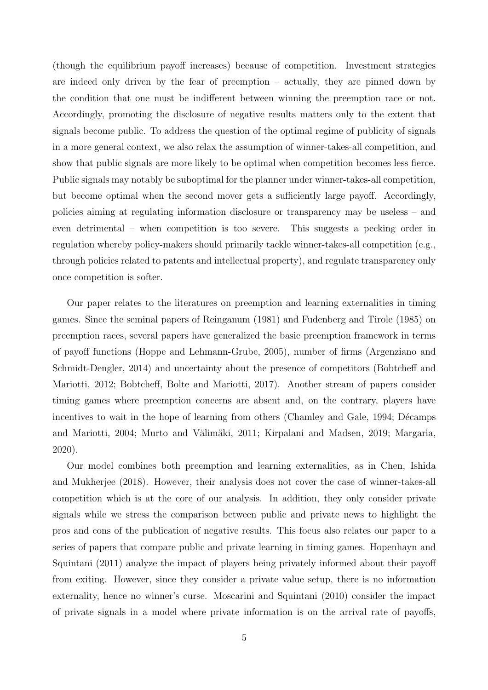(though the equilibrium payoff increases) because of competition. Investment strategies are indeed only driven by the fear of preemption – actually, they are pinned down by the condition that one must be indifferent between winning the preemption race or not. Accordingly, promoting the disclosure of negative results matters only to the extent that signals become public. To address the question of the optimal regime of publicity of signals in a more general context, we also relax the assumption of winner-takes-all competition, and show that public signals are more likely to be optimal when competition becomes less fierce. Public signals may notably be suboptimal for the planner under winner-takes-all competition, but become optimal when the second mover gets a sufficiently large payoff. Accordingly, policies aiming at regulating information disclosure or transparency may be useless – and even detrimental – when competition is too severe. This suggests a pecking order in regulation whereby policy-makers should primarily tackle winner-takes-all competition (e.g., through policies related to patents and intellectual property), and regulate transparency only once competition is softer.

Our paper relates to the literatures on preemption and learning externalities in timing games. Since the seminal papers of Reinganum (1981) and Fudenberg and Tirole (1985) on preemption races, several papers have generalized the basic preemption framework in terms of payoff functions (Hoppe and Lehmann-Grube, 2005), number of firms (Argenziano and Schmidt-Dengler, 2014) and uncertainty about the presence of competitors (Bobtcheff and Mariotti, 2012; Bobtcheff, Bolte and Mariotti, 2017). Another stream of papers consider timing games where preemption concerns are absent and, on the contrary, players have incentives to wait in the hope of learning from others (Chamley and Gale, 1994; Décamps and Mariotti, 2004; Murto and Välimäki, 2011; Kirpalani and Madsen, 2019; Margaria, 2020).

Our model combines both preemption and learning externalities, as in Chen, Ishida and Mukherjee (2018). However, their analysis does not cover the case of winner-takes-all competition which is at the core of our analysis. In addition, they only consider private signals while we stress the comparison between public and private news to highlight the pros and cons of the publication of negative results. This focus also relates our paper to a series of papers that compare public and private learning in timing games. Hopenhayn and Squintani (2011) analyze the impact of players being privately informed about their payoff from exiting. However, since they consider a private value setup, there is no information externality, hence no winner's curse. Moscarini and Squintani (2010) consider the impact of private signals in a model where private information is on the arrival rate of payoffs,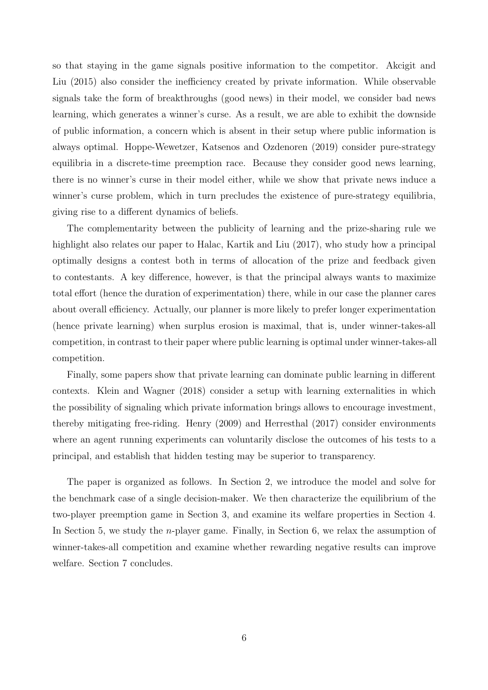so that staying in the game signals positive information to the competitor. Akcigit and Liu (2015) also consider the inefficiency created by private information. While observable signals take the form of breakthroughs (good news) in their model, we consider bad news learning, which generates a winner's curse. As a result, we are able to exhibit the downside of public information, a concern which is absent in their setup where public information is always optimal. Hoppe-Wewetzer, Katsenos and Ozdenoren (2019) consider pure-strategy equilibria in a discrete-time preemption race. Because they consider good news learning, there is no winner's curse in their model either, while we show that private news induce a winner's curse problem, which in turn precludes the existence of pure-strategy equilibria, giving rise to a different dynamics of beliefs.

The complementarity between the publicity of learning and the prize-sharing rule we highlight also relates our paper to Halac, Kartik and Liu  $(2017)$ , who study how a principal optimally designs a contest both in terms of allocation of the prize and feedback given to contestants. A key difference, however, is that the principal always wants to maximize total effort (hence the duration of experimentation) there, while in our case the planner cares about overall efficiency. Actually, our planner is more likely to prefer longer experimentation (hence private learning) when surplus erosion is maximal, that is, under winner-takes-all competition, in contrast to their paper where public learning is optimal under winner-takes-all competition.

Finally, some papers show that private learning can dominate public learning in different contexts. Klein and Wagner (2018) consider a setup with learning externalities in which the possibility of signaling which private information brings allows to encourage investment, thereby mitigating free-riding. Henry (2009) and Herresthal (2017) consider environments where an agent running experiments can voluntarily disclose the outcomes of his tests to a principal, and establish that hidden testing may be superior to transparency.

The paper is organized as follows. In Section 2, we introduce the model and solve for the benchmark case of a single decision-maker. We then characterize the equilibrium of the two-player preemption game in Section 3, and examine its welfare properties in Section 4. In Section 5, we study the *n*-player game. Finally, in Section 6, we relax the assumption of winner-takes-all competition and examine whether rewarding negative results can improve welfare. Section 7 concludes.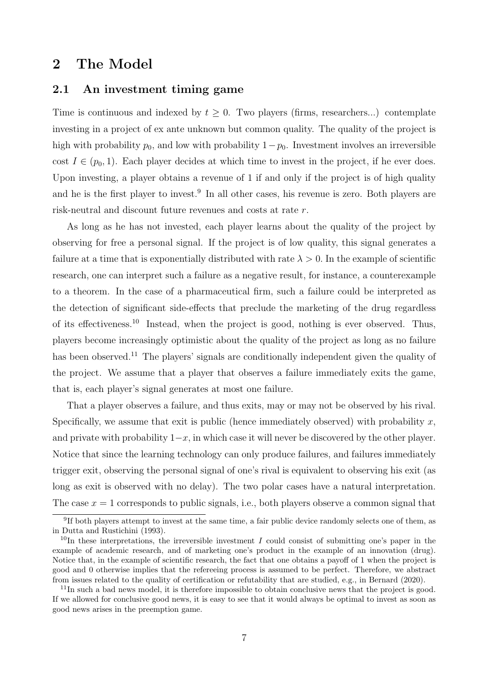# 2 The Model

#### 2.1 An investment timing game

Time is continuous and indexed by  $t > 0$ . Two players (firms, researchers...) contemplate investing in a project of ex ante unknown but common quality. The quality of the project is high with probability  $p_0$ , and low with probability  $1-p_0$ . Investment involves an irreversible cost  $I \in (p_0, 1)$ . Each player decides at which time to invest in the project, if he ever does. Upon investing, a player obtains a revenue of 1 if and only if the project is of high quality and he is the first player to invest.<sup>9</sup> In all other cases, his revenue is zero. Both players are risk-neutral and discount future revenues and costs at rate r.

As long as he has not invested, each player learns about the quality of the project by observing for free a personal signal. If the project is of low quality, this signal generates a failure at a time that is exponentially distributed with rate  $\lambda > 0$ . In the example of scientific research, one can interpret such a failure as a negative result, for instance, a counterexample to a theorem. In the case of a pharmaceutical firm, such a failure could be interpreted as the detection of significant side-effects that preclude the marketing of the drug regardless of its effectiveness.<sup>10</sup> Instead, when the project is good, nothing is ever observed. Thus, players become increasingly optimistic about the quality of the project as long as no failure has been observed.<sup>11</sup> The players' signals are conditionally independent given the quality of the project. We assume that a player that observes a failure immediately exits the game, that is, each player's signal generates at most one failure.

That a player observes a failure, and thus exits, may or may not be observed by his rival. Specifically, we assume that exit is public (hence immediately observed) with probability  $x$ , and private with probability  $1-x$ , in which case it will never be discovered by the other player. Notice that since the learning technology can only produce failures, and failures immediately trigger exit, observing the personal signal of one's rival is equivalent to observing his exit (as long as exit is observed with no delay). The two polar cases have a natural interpretation. The case  $x = 1$  corresponds to public signals, i.e., both players observe a common signal that

<sup>&</sup>lt;sup>9</sup>If both players attempt to invest at the same time, a fair public device randomly selects one of them, as in Dutta and Rustichini (1993).

 $10$ In these interpretations, the irreversible investment I could consist of submitting one's paper in the example of academic research, and of marketing one's product in the example of an innovation (drug). Notice that, in the example of scientific research, the fact that one obtains a payoff of 1 when the project is good and 0 otherwise implies that the refereeing process is assumed to be perfect. Therefore, we abstract from issues related to the quality of certification or refutability that are studied, e.g., in Bernard (2020).

 $11$ In such a bad news model, it is therefore impossible to obtain conclusive news that the project is good. If we allowed for conclusive good news, it is easy to see that it would always be optimal to invest as soon as good news arises in the preemption game.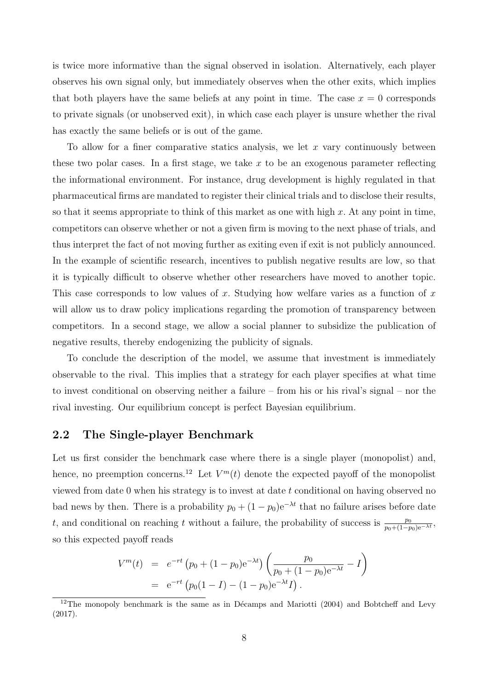is twice more informative than the signal observed in isolation. Alternatively, each player observes his own signal only, but immediately observes when the other exits, which implies that both players have the same beliefs at any point in time. The case  $x = 0$  corresponds to private signals (or unobserved exit), in which case each player is unsure whether the rival has exactly the same beliefs or is out of the game.

To allow for a finer comparative statics analysis, we let  $x$  vary continuously between these two polar cases. In a first stage, we take  $x$  to be an exogenous parameter reflecting the informational environment. For instance, drug development is highly regulated in that pharmaceutical firms are mandated to register their clinical trials and to disclose their results, so that it seems appropriate to think of this market as one with high  $x$ . At any point in time, competitors can observe whether or not a given firm is moving to the next phase of trials, and thus interpret the fact of not moving further as exiting even if exit is not publicly announced. In the example of scientific research, incentives to publish negative results are low, so that it is typically difficult to observe whether other researchers have moved to another topic. This case corresponds to low values of x. Studying how welfare varies as a function of  $x$ will allow us to draw policy implications regarding the promotion of transparency between competitors. In a second stage, we allow a social planner to subsidize the publication of negative results, thereby endogenizing the publicity of signals.

To conclude the description of the model, we assume that investment is immediately observable to the rival. This implies that a strategy for each player specifies at what time to invest conditional on observing neither a failure – from his or his rival's signal – nor the rival investing. Our equilibrium concept is perfect Bayesian equilibrium.

#### 2.2 The Single-player Benchmark

Let us first consider the benchmark case where there is a single player (monopolist) and, hence, no preemption concerns.<sup>12</sup> Let  $V^m(t)$  denote the expected payoff of the monopolist viewed from date 0 when his strategy is to invest at date  $t$  conditional on having observed no bad news by then. There is a probability  $p_0 + (1 - p_0)e^{-\lambda t}$  that no failure arises before date t, and conditional on reaching t without a failure, the probability of success is  $\frac{p_0}{p_0+(1-p_0)e^{-\lambda t}}$ , so this expected payoff reads

$$
V^{m}(t) = e^{-rt} (p_0 + (1 - p_0)e^{-\lambda t}) \left( \frac{p_0}{p_0 + (1 - p_0)e^{-\lambda t}} - I \right)
$$
  
=  $e^{-rt} (p_0(1 - I) - (1 - p_0)e^{-\lambda t} I).$ 

 $12$ The monopoly benchmark is the same as in Décamps and Mariotti (2004) and Bobtcheff and Levy (2017).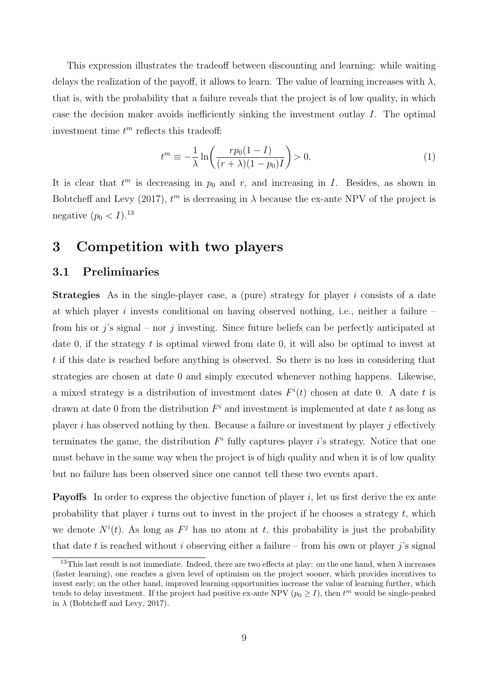This expression illustrates the tradeoff between discounting and learning: while waiting delays the realization of the payoff, it allows to learn. The value of learning increases with  $\lambda$ , that is, with the probability that a failure reveals that the project is of low quality, in which case the decision maker avoids inefficiently sinking the investment outlay I. The optimal investment time  $t^m$  reflects this tradeoff:

$$
t^{m} \equiv -\frac{1}{\lambda} \ln \left( \frac{rp_{0}(1-I)}{(r+\lambda)(1-p_{0})I} \right) > 0.
$$
 (1)

It is clear that  $t^m$  is decreasing in  $p_0$  and  $r$ , and increasing in I. Besides, as shown in Bobtcheff and Levy (2017),  $t^m$  is decreasing in  $\lambda$  because the ex-ante NPV of the project is negative  $(p_0 < I)^{13}$ 

### 3 Competition with two players

#### 3.1 Preliminaries

**Strategies** As in the single-player case, a (pure) strategy for player i consists of a date at which player i invests conditional on having observed nothing, i.e., neither a failure – from his or j's signal – nor j investing. Since future beliefs can be perfectly anticipated at date 0, if the strategy  $t$  is optimal viewed from date 0, it will also be optimal to invest at t if this date is reached before anything is observed. So there is no loss in considering that strategies are chosen at date 0 and simply executed whenever nothing happens. Likewise, a mixed strategy is a distribution of investment dates  $F^{i}(t)$  chosen at date 0. A date t is drawn at date 0 from the distribution  $F<sup>i</sup>$  and investment is implemented at date t as long as player i has observed nothing by then. Because a failure or investment by player j effectively terminates the game, the distribution  $F<sup>i</sup>$  fully captures player i's strategy. Notice that one must behave in the same way when the project is of high quality and when it is of low quality but no failure has been observed since one cannot tell these two events apart.

**Payoffs** In order to express the objective function of player i, let us first derive the ex ante probability that player i turns out to invest in the project if he chooses a strategy  $t$ , which we denote  $N^{i}(t)$ . As long as  $F^{j}$  has no atom at t, this probability is just the probability that date t is reached without i observing either a failure – from his own or player j's signal

<sup>&</sup>lt;sup>13</sup>This last result is not immediate. Indeed, there are two effects at play: on the one hand, when  $\lambda$  increases (faster learning), one reaches a given level of optimism on the project sooner, which provides incentives to invest early; on the other hand, improved learning opportunities increase the value of learning further, which tends to delay investment. If the project had positive ex-ante NPV  $(p_0 \geq I)$ , then  $t^m$  would be single-peaked in  $\lambda$  (Bobtcheff and Levy, 2017).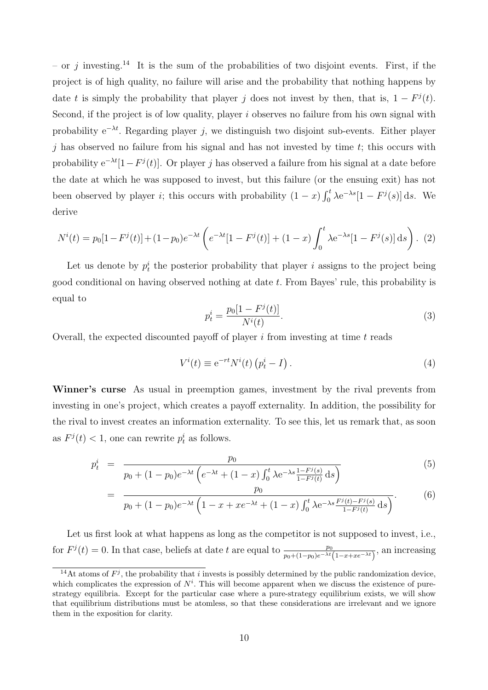– or j investing.<sup>14</sup> It is the sum of the probabilities of two disjoint events. First, if the project is of high quality, no failure will arise and the probability that nothing happens by date t is simply the probability that player j does not invest by then, that is,  $1 - F^{j}(t)$ . Second, if the project is of low quality, player  $i$  observes no failure from his own signal with probability  $e^{-\lambda t}$ . Regarding player j, we distinguish two disjoint sub-events. Either player  $j$  has observed no failure from his signal and has not invested by time  $t$ ; this occurs with probability  $e^{-\lambda t} [1 - F^{j}(t)]$ . Or player j has observed a failure from his signal at a date before the date at which he was supposed to invest, but this failure (or the ensuing exit) has not been observed by player *i*; this occurs with probability  $(1-x) \int_0^t \lambda e^{-\lambda s} [1 - F^j(s)] ds$ . We derive

$$
N^{i}(t) = p_{0}[1 - F^{j}(t)] + (1 - p_{0})e^{-\lambda t} \left( e^{-\lambda t} [1 - F^{j}(t)] + (1 - x) \int_{0}^{t} \lambda e^{-\lambda s} [1 - F^{j}(s)] ds \right). (2)
$$

Let us denote by  $p_t^i$  the posterior probability that player i assigns to the project being good conditional on having observed nothing at date  $t$ . From Bayes' rule, this probability is equal to

$$
p_t^i = \frac{p_0[1 - F^j(t)]}{N^i(t)}.\tag{3}
$$

Overall, the expected discounted payoff of player  $i$  from investing at time  $t$  reads

$$
V^{i}(t) \equiv e^{-rt} N^{i}(t) \left( p_{t}^{i} - I \right). \tag{4}
$$

Winner's curse As usual in preemption games, investment by the rival prevents from investing in one's project, which creates a payoff externality. In addition, the possibility for the rival to invest creates an information externality. To see this, let us remark that, as soon as  $F^j(t) < 1$ , one can rewrite  $p_t^i$  as follows.

$$
p_t^i = \frac{p_0}{p_0 + (1 - p_0)e^{-\lambda t} \left(e^{-\lambda t} + (1 - x) \int_0^t \lambda e^{-\lambda s} \frac{1 - F^j(s)}{1 - F^j(t)} ds\right)}
$$
(5)

$$
= \frac{p_0}{p_0 + (1 - p_0)e^{-\lambda t} \left(1 - x + xe^{-\lambda t} + (1 - x) \int_0^t \lambda e^{-\lambda s} \frac{F^j(t) - F^j(s)}{1 - F^j(t)} ds\right)}.
$$
(6)

Let us first look at what happens as long as the competitor is not supposed to invest, i.e., for  $F^j(t) = 0$ . In that case, beliefs at date t are equal to  $\frac{p_0}{p_0 + (1 - p_0)e^{-\lambda t}(1 - x + xe^{-\lambda t})}$ , an increasing

<sup>&</sup>lt;sup>14</sup>At atoms of  $F<sup>j</sup>$ , the probability that i invests is possibly determined by the public randomization device, which complicates the expression of  $N<sup>i</sup>$ . This will become apparent when we discuss the existence of purestrategy equilibria. Except for the particular case where a pure-strategy equilibrium exists, we will show that equilibrium distributions must be atomless, so that these considerations are irrelevant and we ignore them in the exposition for clarity.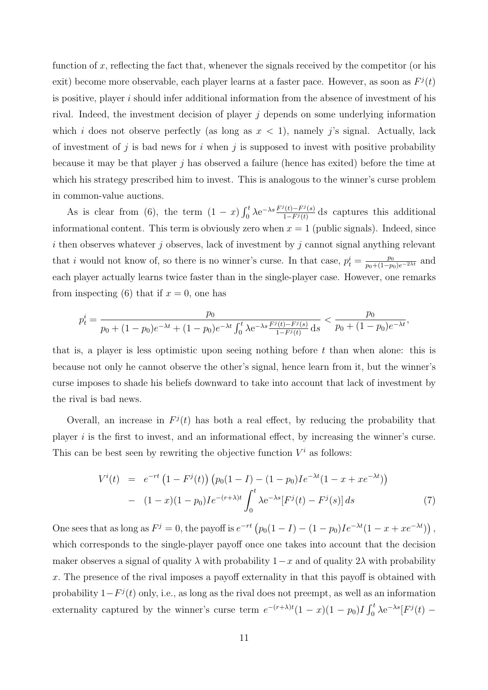function of  $x$ , reflecting the fact that, whenever the signals received by the competitor (or his exit) become more observable, each player learns at a faster pace. However, as soon as  $F^{j}(t)$ is positive, player  $i$  should infer additional information from the absence of investment of his rival. Indeed, the investment decision of player  $j$  depends on some underlying information which i does not observe perfectly (as long as  $x < 1$ ), namely j's signal. Actually, lack of investment of j is bad news for i when j is supposed to invest with positive probability because it may be that player  $j$  has observed a failure (hence has exited) before the time at which his strategy prescribed him to invest. This is analogous to the winner's curse problem in common-value auctions.

As is clear from (6), the term  $(1-x)\int_0^t \lambda e^{-\lambda s} \frac{F^j(t)-F^j(s)}{1-F^j(t)}$  $\frac{\binom{r(t)-F^{j}(s)}{1-F^{j}(t)}}{1-F^{j}(t)}$  ds captures this additional informational content. This term is obviously zero when  $x = 1$  (public signals). Indeed, since i then observes whatever j observes, lack of investment by j cannot signal anything relevant that i would not know of, so there is no winner's curse. In that case,  $p_t^i = \frac{p_0}{p_0 + (1-p_0)e^{-2\lambda t}}$  and each player actually learns twice faster than in the single-player case. However, one remarks from inspecting (6) that if  $x = 0$ , one has

$$
p_t^i = \frac{p_0}{p_0 + (1 - p_0)e^{-\lambda t} + (1 - p_0)e^{-\lambda t} \int_0^t \lambda e^{-\lambda s} \frac{F^j(t) - F^j(s)}{1 - F^j(t)} ds} < \frac{p_0}{p_0 + (1 - p_0)e^{-\lambda t}},
$$

that is, a player is less optimistic upon seeing nothing before  $t$  than when alone: this is because not only he cannot observe the other's signal, hence learn from it, but the winner's curse imposes to shade his beliefs downward to take into account that lack of investment by the rival is bad news.

Overall, an increase in  $F^{j}(t)$  has both a real effect, by reducing the probability that player  $i$  is the first to invest, and an informational effect, by increasing the winner's curse. This can be best seen by rewriting the objective function  $V^i$  as follows:

$$
V^{i}(t) = e^{-rt} (1 - F^{j}(t)) (p_0(1 - I) - (1 - p_0)I e^{-\lambda t} (1 - x + x e^{-\lambda t}))
$$
  
- (1 - x)(1 - p\_0)I e^{-(r + \lambda)t}  $\int_0^t \lambda e^{-\lambda s} [F^{j}(t) - F^{j}(s)] ds$  (7)

One sees that as long as  $F^j = 0$ , the payoff is  $e^{-rt} (p_0(1 - I) - (1 - p_0)Ie^{-\lambda t}(1 - x + xe^{-\lambda t}))$ , which corresponds to the single-player payoff once one takes into account that the decision maker observes a signal of quality  $\lambda$  with probability  $1-x$  and of quality  $2\lambda$  with probability  $x$ . The presence of the rival imposes a payoff externality in that this payoff is obtained with probability  $1-F^j(t)$  only, i.e., as long as the rival does not preempt, as well as an information externality captured by the winner's curse term  $e^{-(r+\lambda)t}(1-x)(1-p_0)I\int_0^t \lambda e^{-\lambda s}[F^j(t)]$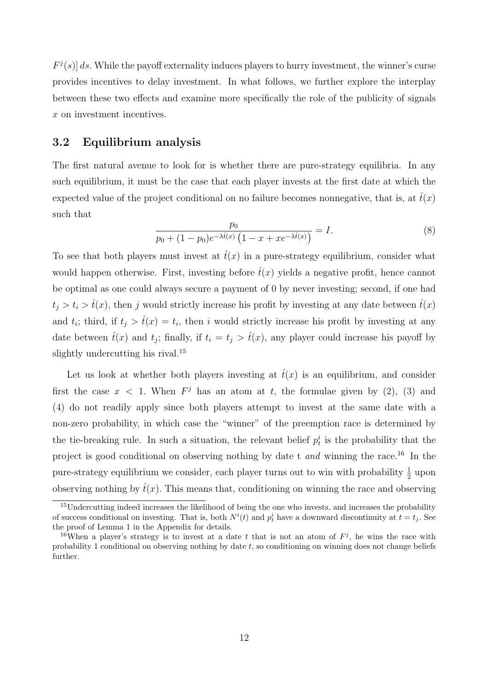$F^{j}(s)$  ds. While the payoff externality induces players to hurry investment, the winner's curse provides incentives to delay investment. In what follows, we further explore the interplay between these two effects and examine more specifically the role of the publicity of signals x on investment incentives.

#### 3.2 Equilibrium analysis

The first natural avenue to look for is whether there are pure-strategy equilibria. In any such equilibrium, it must be the case that each player invests at the first date at which the expected value of the project conditional on no failure becomes nonnegative, that is, at  $\hat{t}(x)$ such that

$$
\frac{p_0}{p_0 + (1 - p_0)e^{-\lambda \hat{t}(x)}\left(1 - x + xe^{-\lambda \hat{t}(x)}\right)} = I.
$$
\n(8)

To see that both players must invest at  $\hat{t}(x)$  in a pure-strategy equilibrium, consider what would happen otherwise. First, investing before  $\hat{t}(x)$  yields a negative profit, hence cannot be optimal as one could always secure a payment of 0 by never investing; second, if one had  $t_i > t_i > \hat{t}(x)$ , then j would strictly increase his profit by investing at any date between  $\hat{t}(x)$ and  $t_i$ ; third, if  $t_j > \hat{t}(x) = t_i$ , then i would strictly increase his profit by investing at any date between  $\hat{t}(x)$  and  $t_j$ ; finally, if  $t_i = t_j > \hat{t}(x)$ , any player could increase his payoff by slightly undercutting his rival.<sup>15</sup>

Let us look at whether both players investing at  $\hat{t}(x)$  is an equilibrium, and consider first the case  $x < 1$ . When  $F<sup>j</sup>$  has an atom at t, the formulae given by (2), (3) and (4) do not readily apply since both players attempt to invest at the same date with a non-zero probability, in which case the "winner" of the preemption race is determined by the tie-breaking rule. In such a situation, the relevant belief  $p_t^i$  is the probability that the project is good conditional on observing nothing by date t and winning the race.<sup>16</sup> In the pure-strategy equilibrium we consider, each player turns out to win with probability  $\frac{1}{2}$  upon observing nothing by  $\hat{t}(x)$ . This means that, conditioning on winning the race and observing

<sup>&</sup>lt;sup>15</sup>Undercutting indeed increases the likelihood of being the one who invests, and increases the probability of success conditional on investing. That is, both  $N^i(t)$  and  $p_t^i$  have a downward discontinuity at  $t = t_j$ . See the proof of Lemma 1 in the Appendix for details.

<sup>&</sup>lt;sup>16</sup>When a player's strategy is to invest at a date t that is not an atom of  $F<sup>j</sup>$ , he wins the race with probability 1 conditional on observing nothing by date  $t$ , so conditioning on winning does not change beliefs further.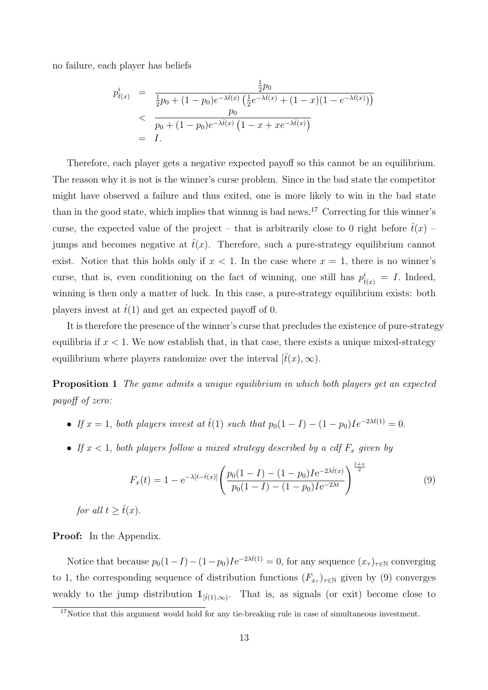no failure, each player has beliefs

$$
p_{\hat{t}(x)}^i = \frac{\frac{1}{2}p_0}{\frac{1}{2}p_0 + (1 - p_0)e^{-\lambda \hat{t}(x)}\left(\frac{1}{2}e^{-\lambda \hat{t}(x)} + (1 - x)(1 - e^{-\lambda \hat{t}(x)})\right)}
$$
  
< 
$$
\leq \frac{p_0}{p_0 + (1 - p_0)e^{-\lambda \hat{t}(x)}\left(1 - x + xe^{-\lambda \hat{t}(x)}\right)}
$$
  
= I.

Therefore, each player gets a negative expected payoff so this cannot be an equilibrium. The reason why it is not is the winner's curse problem. Since in the bad state the competitor might have observed a failure and thus exited, one is more likely to win in the bad state than in the good state, which implies that winning is bad news.<sup>17</sup> Correcting for this winner's curse, the expected value of the project – that is arbitrarily close to 0 right before  $\hat{t}(x)$  – jumps and becomes negative at  $\hat{t}(x)$ . Therefore, such a pure-strategy equilibrium cannot exist. Notice that this holds only if  $x < 1$ . In the case where  $x = 1$ , there is no winner's curse, that is, even conditioning on the fact of winning, one still has  $p_{\hat{t}(x)}^i = I$ . Indeed, winning is then only a matter of luck. In this case, a pure-strategy equilibrium exists: both players invest at  $\hat{t}(1)$  and get an expected payoff of 0.

It is therefore the presence of the winner's curse that precludes the existence of pure-strategy equilibria if  $x < 1$ . We now establish that, in that case, there exists a unique mixed-strategy equilibrium where players randomize over the interval  $[t(x), \infty)$ .

**Proposition 1** The game admits a unique equilibrium in which both players get an expected payoff of zero:

- If  $x = 1$ , both players invest at  $\hat{t}(1)$  such that  $p_0(1 I) (1 p_0)Ie^{-2\lambda \hat{t}(1)} = 0$ .
- If  $x < 1$ , both players follow a mixed strategy described by a cdf  $F_x$  given by

$$
F_x(t) = 1 - e^{-\lambda[t - \hat{t}(x)]} \left( \frac{p_0(1 - I) - (1 - p_0)I e^{-2\lambda \hat{t}(x)}}{p_0(1 - I) - (1 - p_0)I e^{-2\lambda t}} \right)^{\frac{1+x}{2}}
$$
(9)

for all  $t > \hat{t}(x)$ .

Proof: In the Appendix.

Notice that because  $p_0(1-I) - (1-p_0)Ie^{-2\lambda \hat{t}(1)} = 0$ , for any sequence  $(x_\tau)_{\tau \in \mathbb{N}}$  converging to 1, the corresponding sequence of distribution functions  $(F_{x_{\tau}})_{\tau \in \mathbb{N}}$  given by (9) converges weakly to the jump distribution  $1_{\lbrack \hat{t}(1),\infty)}$ . That is, as signals (or exit) become close to

 $17$ Notice that this argument would hold for any tie-breaking rule in case of simultaneous investment.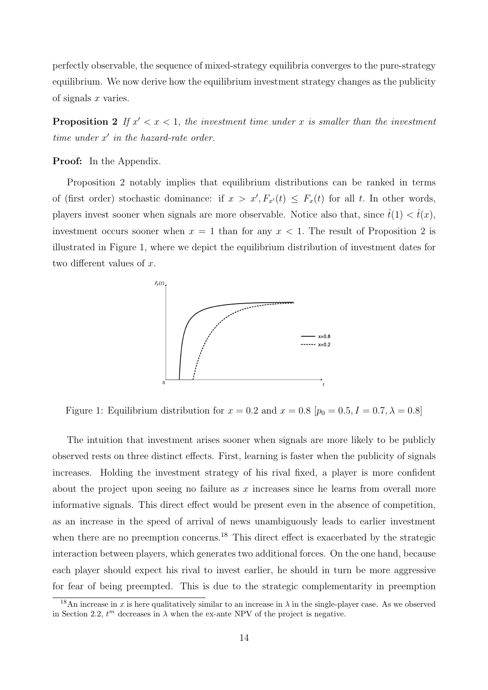perfectly observable, the sequence of mixed-strategy equilibria converges to the pure-strategy equilibrium. We now derive how the equilibrium investment strategy changes as the publicity of signals  $x$  varies.

**Proposition 2** If  $x' < x < 1$ , the investment time under x is smaller than the investment  $time$  under  $x'$  in the hazard-rate order.

Proof: In the Appendix.

Proposition 2 notably implies that equilibrium distributions can be ranked in terms of (first order) stochastic dominance: if  $x > x', F_{x'}(t) \leq F_x(t)$  for all t. In other words, players invest sooner when signals are more observable. Notice also that, since  $\hat{t}(1) < \hat{t}(x)$ , investment occurs sooner when  $x = 1$  than for any  $x < 1$ . The result of Proposition 2 is illustrated in Figure 1, where we depict the equilibrium distribution of investment dates for two different values of  $x$ .



Figure 1: Equilibrium distribution for  $x = 0.2$  and  $x = 0.8$  [ $p_0 = 0.5, I = 0.7, \lambda = 0.8$ ]

The intuition that investment arises sooner when signals are more likely to be publicly observed rests on three distinct effects. First, learning is faster when the publicity of signals increases. Holding the investment strategy of his rival fixed, a player is more confident about the project upon seeing no failure as x increases since he learns from overall more informative signals. This direct effect would be present even in the absence of competition, as an increase in the speed of arrival of news unambiguously leads to earlier investment when there are no preemption concerns.<sup>18</sup> This direct effect is exacerbated by the strategic interaction between players, which generates two additional forces. On the one hand, because each player should expect his rival to invest earlier, he should in turn be more aggressive for fear of being preempted. This is due to the strategic complementarity in preemption

<sup>&</sup>lt;sup>18</sup>An increase in x is here qualitatively similar to an increase in  $\lambda$  in the single-player case. As we observed in Section 2.2,  $t^m$  decreases in  $\lambda$  when the ex-ante NPV of the project is negative.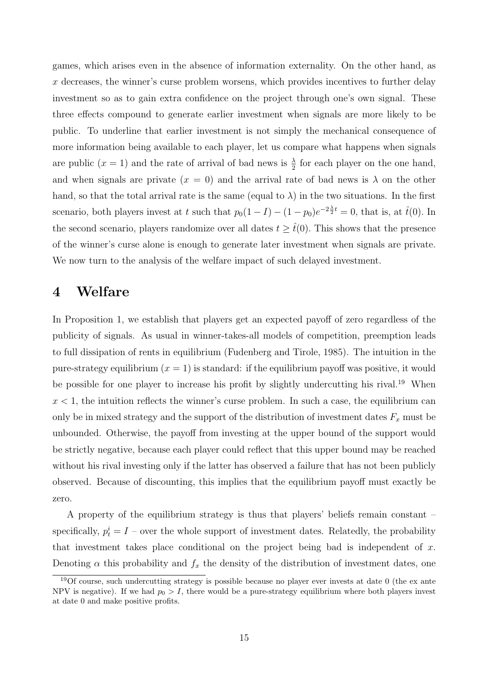games, which arises even in the absence of information externality. On the other hand, as x decreases, the winner's curse problem worsens, which provides incentives to further delay investment so as to gain extra confidence on the project through one's own signal. These three effects compound to generate earlier investment when signals are more likely to be public. To underline that earlier investment is not simply the mechanical consequence of more information being available to each player, let us compare what happens when signals are public  $(x = 1)$  and the rate of arrival of bad news is  $\frac{\lambda}{2}$  for each player on the one hand, and when signals are private  $(x = 0)$  and the arrival rate of bad news is  $\lambda$  on the other hand, so that the total arrival rate is the same (equal to  $\lambda$ ) in the two situations. In the first scenario, both players invest at t such that  $p_0(1-I) - (1-p_0)e^{-2\frac{\lambda}{2}t} = 0$ , that is, at  $\hat{t}(0)$ . In the second scenario, players randomize over all dates  $t \geq \hat{t}(0)$ . This shows that the presence of the winner's curse alone is enough to generate later investment when signals are private. We now turn to the analysis of the welfare impact of such delayed investment.

# 4 Welfare

In Proposition 1, we establish that players get an expected payoff of zero regardless of the publicity of signals. As usual in winner-takes-all models of competition, preemption leads to full dissipation of rents in equilibrium (Fudenberg and Tirole, 1985). The intuition in the pure-strategy equilibrium  $(x = 1)$  is standard: if the equilibrium payoff was positive, it would be possible for one player to increase his profit by slightly undercutting his rival.<sup>19</sup> When  $x < 1$ , the intuition reflects the winner's curse problem. In such a case, the equilibrium can only be in mixed strategy and the support of the distribution of investment dates  $F_x$  must be unbounded. Otherwise, the payoff from investing at the upper bound of the support would be strictly negative, because each player could reflect that this upper bound may be reached without his rival investing only if the latter has observed a failure that has not been publicly observed. Because of discounting, this implies that the equilibrium payoff must exactly be zero.

A property of the equilibrium strategy is thus that players' beliefs remain constant – specifically,  $p_t^i = I$  – over the whole support of investment dates. Relatedly, the probability that investment takes place conditional on the project being bad is independent of  $x$ . Denoting  $\alpha$  this probability and  $f_x$  the density of the distribution of investment dates, one

<sup>&</sup>lt;sup>19</sup>Of course, such undercutting strategy is possible because no player ever invests at date 0 (the ex ante NPV is negative). If we had  $p_0 > I$ , there would be a pure-strategy equilibrium where both players invest at date 0 and make positive profits.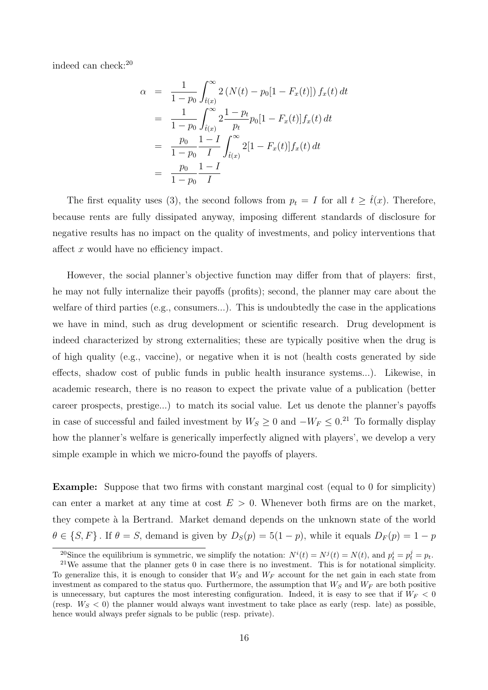indeed can check:<sup>20</sup>

$$
\alpha = \frac{1}{1 - p_0} \int_{\hat{t}(x)}^{\infty} 2 (N(t) - p_0[1 - F_x(t)]) f_x(t) dt
$$
  
\n
$$
= \frac{1}{1 - p_0} \int_{\hat{t}(x)}^{\infty} 2 \frac{1 - p_t}{p_t} p_0[1 - F_x(t)] f_x(t) dt
$$
  
\n
$$
= \frac{p_0}{1 - p_0} \frac{1 - I}{I} \int_{\hat{t}(x)}^{\infty} 2[1 - F_x(t)] f_x(t) dt
$$
  
\n
$$
= \frac{p_0}{1 - p_0} \frac{1 - I}{I}
$$

The first equality uses (3), the second follows from  $p_t = I$  for all  $t \geq \hat{t}(x)$ . Therefore, because rents are fully dissipated anyway, imposing different standards of disclosure for negative results has no impact on the quality of investments, and policy interventions that affect x would have no efficiency impact.

However, the social planner's objective function may differ from that of players: first, he may not fully internalize their payoffs (profits); second, the planner may care about the welfare of third parties (e.g., consumers...). This is undoubtedly the case in the applications we have in mind, such as drug development or scientific research. Drug development is indeed characterized by strong externalities; these are typically positive when the drug is of high quality (e.g., vaccine), or negative when it is not (health costs generated by side effects, shadow cost of public funds in public health insurance systems...). Likewise, in academic research, there is no reason to expect the private value of a publication (better career prospects, prestige...) to match its social value. Let us denote the planner's payoffs in case of successful and failed investment by  $W_S \geq 0$  and  $-W_F \leq 0.21$  To formally display how the planner's welfare is generically imperfectly aligned with players', we develop a very simple example in which we micro-found the payoffs of players.

Example: Suppose that two firms with constant marginal cost (equal to 0 for simplicity) can enter a market at any time at cost  $E > 0$ . Whenever both firms are on the market, they compete à la Bertrand. Market demand depends on the unknown state of the world  $\theta \in \{S, F\}$ . If  $\theta = S$ , demand is given by  $D_S(p) = 5(1-p)$ , while it equals  $D_F(p) = 1-p$ 

<sup>&</sup>lt;sup>20</sup>Since the equilibrium is symmetric, we simplify the notation:  $N^{i}(t) = N^{j}(t) = N(t)$ , and  $p_{t}^{i} = p_{t}^{j} = p_{t}$ .

 $21$ We assume that the planner gets 0 in case there is no investment. This is for notational simplicity. To generalize this, it is enough to consider that  $W_S$  and  $W_F$  account for the net gain in each state from investment as compared to the status quo. Furthermore, the assumption that  $W_S$  and  $W_F$  are both positive is unnecessary, but captures the most interesting configuration. Indeed, it is easy to see that if  $W_F < 0$ (resp.  $W<sub>S</sub> < 0$ ) the planner would always want investment to take place as early (resp. late) as possible, hence would always prefer signals to be public (resp. private).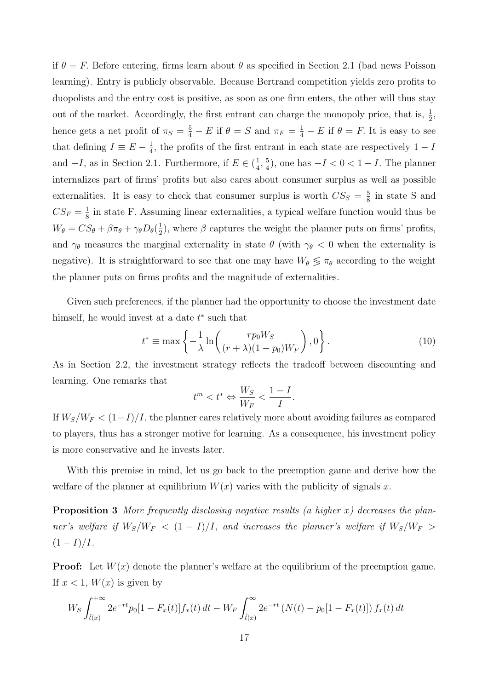if  $\theta = F$ . Before entering, firms learn about  $\theta$  as specified in Section 2.1 (bad news Poisson learning). Entry is publicly observable. Because Bertrand competition yields zero profits to duopolists and the entry cost is positive, as soon as one firm enters, the other will thus stay out of the market. Accordingly, the first entrant can charge the monopoly price, that is,  $\frac{1}{2}$ , hence gets a net profit of  $\pi_S = \frac{5}{4} - E$  if  $\theta = S$  and  $\pi_F = \frac{1}{4} - E$  if  $\theta = F$ . It is easy to see that defining  $I \equiv E - \frac{1}{4}$  $\frac{1}{4}$ , the profits of the first entrant in each state are respectively  $1 - I$ and  $-I$ , as in Section 2.1. Furthermore, if  $E \in \left(\frac{1}{4}\right)$  $\frac{1}{4}, \frac{5}{4}$  $\frac{5}{4}$ , one has  $-I < 0 < 1 - I$ . The planner internalizes part of firms' profits but also cares about consumer surplus as well as possible externalities. It is easy to check that consumer surplus is worth  $CS_S = \frac{5}{8}$  $\frac{5}{8}$  in state S and  $CS_F = \frac{1}{8}$  $\frac{1}{8}$  in state F. Assuming linear externalities, a typical welfare function would thus be  $W_{\theta} = CS_{\theta} + \beta \pi_{\theta} + \gamma_{\theta} D_{\theta}(\frac{1}{2})$  $\frac{1}{2}$ , where  $\beta$  captures the weight the planner puts on firms' profits, and  $\gamma_{\theta}$  measures the marginal externality in state  $\theta$  (with  $\gamma_{\theta}$  < 0 when the externality is negative). It is straightforward to see that one may have  $W_{\theta} \lessgtr \pi_{\theta}$  according to the weight the planner puts on firms profits and the magnitude of externalities.

Given such preferences, if the planner had the opportunity to choose the investment date himself, he would invest at a date  $t^*$  such that

$$
t^* \equiv \max\left\{-\frac{1}{\lambda}\ln\left(\frac{rp_0W_S}{(r+\lambda)(1-p_0)W_F}\right),0\right\}.
$$
 (10)

As in Section 2.2, the investment strategy reflects the tradeoff between discounting and learning. One remarks that

$$
t^m < t^* \Leftrightarrow \frac{W_S}{W_F} < \frac{1-I}{I}.
$$

If  $W_S/W_F < (1-I)/I$ , the planner cares relatively more about avoiding failures as compared to players, thus has a stronger motive for learning. As a consequence, his investment policy is more conservative and he invests later.

With this premise in mind, let us go back to the preemption game and derive how the welfare of the planner at equilibrium  $W(x)$  varies with the publicity of signals x.

**Proposition 3** More frequently disclosing negative results (a higher  $x$ ) decreases the planner's welfare if  $W_S/W_F$  <  $(1 - I)/I$ , and increases the planner's welfare if  $W_S/W_F$  >  $(1-I)/I$ .

**Proof:** Let  $W(x)$  denote the planner's welfare at the equilibrium of the preemption game. If  $x < 1$ ,  $W(x)$  is given by

$$
W_S \int_{\hat{t}(x)}^{+\infty} 2e^{-rt} p_0[1 - F_x(t)] f_x(t) dt - W_F \int_{\hat{t}(x)}^{\infty} 2e^{-rt} (N(t) - p_0[1 - F_x(t)]) f_x(t) dt
$$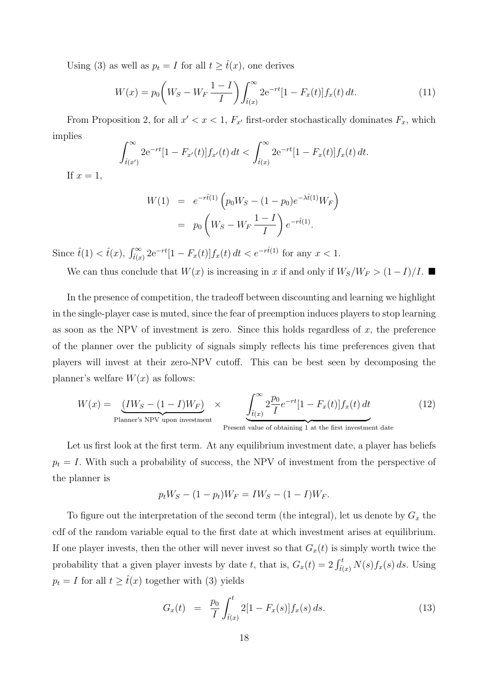Using (3) as well as  $p_t = I$  for all  $t \geq \hat{t}(x)$ , one derives

$$
W(x) = p_0 \left( W_S - W_F \frac{1 - I}{I} \right) \int_{\hat{t}(x)}^{\infty} 2e^{-rt} [1 - F_x(t)] f_x(t) dt.
$$
 (11)

From Proposition 2, for all  $x' < x < 1$ ,  $F_{x'}$  first-order stochastically dominates  $F_x$ , which implies

$$
\int_{\hat{t}(x')}^{\infty} 2e^{-rt}[1 - F_{x'}(t)]f_{x'}(t) dt < \int_{\hat{t}(x)}^{\infty} 2e^{-rt}[1 - F_x(t)]f_x(t) dt.
$$
  
If  $x = 1$ ,

$$
W(1) = e^{-r\hat{t}(1)} \left( p_0 W_S - (1 - p_0) e^{-\lambda \hat{t}(1)} W_F \right)
$$
  
=  $p_0 \left( W_S - W_F \frac{1 - I}{I} \right) e^{-r\hat{t}(1)}$ .

Since  $\hat{t}(1) < \hat{t}(x)$ ,  $\int_{\hat{t}(x)}^{\infty} 2e^{-rt}[1 - F_x(t)]f_x(t) dt < e^{-r\hat{t}(1)}$  for any  $x < 1$ .

We can thus conclude that  $W(x)$  is increasing in x if and only if  $W_S/W_F > (1 - I)/I$ .

In the presence of competition, the tradeoff between discounting and learning we highlight in the single-player case is muted, since the fear of preemption induces players to stop learning as soon as the NPV of investment is zero. Since this holds regardless of  $x$ , the preference of the planner over the publicity of signals simply reflects his time preferences given that players will invest at their zero-NPV cutoff. This can be best seen by decomposing the planner's welfare  $W(x)$  as follows:

$$
W(x) = \underbrace{(IW_S - (1 - I)W_F)}_{\text{Planner's NPV upon investment}} \times \underbrace{\int_{\hat{t}(x)}^{\infty} 2\frac{p_0}{I}e^{-rt}[1 - F_x(t)]f_x(t) dt}_{\text{Present value of obtaining 1 at the first investment date}}
$$
(12)

Let us first look at the first term. At any equilibrium investment date, a player has beliefs  $p_t = I$ . With such a probability of success, the NPV of investment from the perspective of the planner is

$$
p_t W_S - (1 - p_t) W_F = I W_S - (1 - I) W_F.
$$

To figure out the interpretation of the second term (the integral), let us denote by  $G_x$  the cdf of the random variable equal to the first date at which investment arises at equilibrium. If one player invests, then the other will never invest so that  $G_x(t)$  is simply worth twice the probability that a given player invests by date t, that is,  $G_x(t) = 2 \int_{\hat{t}(x)}^t N(s) f_x(s) ds$ . Using  $p_t = I$  for all  $t \geq \hat{t}(x)$  together with (3) yields

$$
G_x(t) = \frac{p_0}{I} \int_{\hat{t}(x)}^t 2[1 - F_x(s)] f_x(s) ds.
$$
 (13)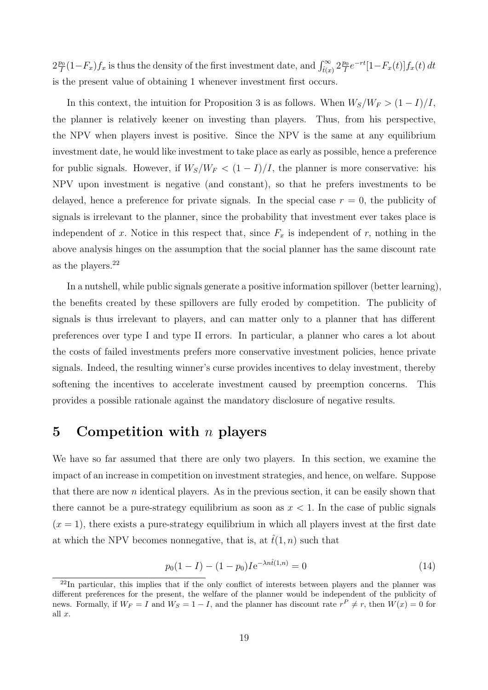$2\frac{p_0}{I}$  $\frac{p_0}{I}(1-F_x)f_x$  is thus the density of the first investment date, and  $\int_{\hat{t}(x)}^{\infty} 2\frac{p_0}{I}$  $\frac{p_0}{I}e^{-rt}[1-F_x(t)]f_x(t) dt$ is the present value of obtaining 1 whenever investment first occurs.

In this context, the intuition for Proposition 3 is as follows. When  $W_S/W_F > (1 - I)/I$ , the planner is relatively keener on investing than players. Thus, from his perspective, the NPV when players invest is positive. Since the NPV is the same at any equilibrium investment date, he would like investment to take place as early as possible, hence a preference for public signals. However, if  $W_S/W_F < (1 - I)/I$ , the planner is more conservative: his NPV upon investment is negative (and constant), so that he prefers investments to be delayed, hence a preference for private signals. In the special case  $r = 0$ , the publicity of signals is irrelevant to the planner, since the probability that investment ever takes place is independent of x. Notice in this respect that, since  $F_x$  is independent of r, nothing in the above analysis hinges on the assumption that the social planner has the same discount rate as the players.<sup>22</sup>

In a nutshell, while public signals generate a positive information spillover (better learning), the benefits created by these spillovers are fully eroded by competition. The publicity of signals is thus irrelevant to players, and can matter only to a planner that has different preferences over type I and type II errors. In particular, a planner who cares a lot about the costs of failed investments prefers more conservative investment policies, hence private signals. Indeed, the resulting winner's curse provides incentives to delay investment, thereby softening the incentives to accelerate investment caused by preemption concerns. This provides a possible rationale against the mandatory disclosure of negative results.

### 5 Competition with  $n$  players

We have so far assumed that there are only two players. In this section, we examine the impact of an increase in competition on investment strategies, and hence, on welfare. Suppose that there are now n identical players. As in the previous section, it can be easily shown that there cannot be a pure-strategy equilibrium as soon as  $x < 1$ . In the case of public signals  $(x = 1)$ , there exists a pure-strategy equilibrium in which all players invest at the first date at which the NPV becomes nonnegative, that is, at  $t(1, n)$  such that

$$
p_0(1-I) - (1-p_0)I e^{-\lambda n \hat{t}(1,n)} = 0
$$
\n(14)

<sup>&</sup>lt;sup>22</sup>In particular, this implies that if the only conflict of interests between players and the planner was different preferences for the present, the welfare of the planner would be independent of the publicity of news. Formally, if  $W_F = I$  and  $W_S = 1 - I$ , and the planner has discount rate  $r^P \neq r$ , then  $W(x) = 0$  for all x.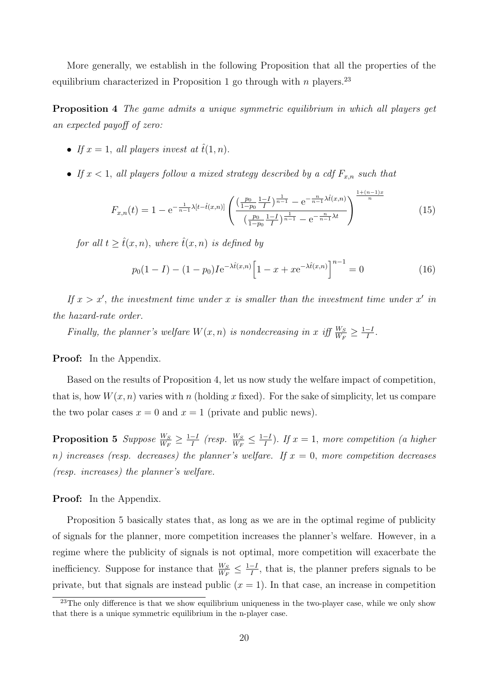More generally, we establish in the following Proposition that all the properties of the equilibrium characterized in Proposition 1 go through with n players.<sup>23</sup>

Proposition 4 The game admits a unique symmetric equilibrium in which all players get an expected payoff of zero:

- If  $x = 1$ , all players invest at  $\hat{t}(1, n)$ .
- If  $x < 1$ , all players follow a mixed strategy described by a cdf  $F_{x,n}$  such that

$$
F_{x,n}(t) = 1 - e^{-\frac{1}{n-1}\lambda[t-\hat{t}(x,n)]} \left( \frac{\left(\frac{p_0}{1-p_0}\frac{1-I}{I}\right)^{\frac{1}{n-1}} - e^{-\frac{n}{n-1}\lambda\hat{t}(x,n)}}{\left(\frac{p_0}{1-p_0}\frac{1-I}{I}\right)^{\frac{1}{n-1}} - e^{-\frac{n}{n-1}\lambda t}} \right)^{\frac{1+(n-1)x}{n}}
$$
(15)

for all  $t > \hat{t}(x, n)$ , where  $\hat{t}(x, n)$  is defined by

$$
p_0(1-I) - (1-p_0)I e^{-\lambda \hat{t}(x,n)} \left[1 - x + x e^{-\lambda \hat{t}(x,n)}\right]^{n-1} = 0
$$
\n(16)

If  $x > x'$ , the investment time under x is smaller than the investment time under x' in the hazard-rate order.

Finally, the planner's welfare  $W(x, n)$  is nondecreasing in x iff  $\frac{W_S}{W_F} \geq \frac{1-1}{I}$  $\frac{-I}{I}$ .

Proof: In the Appendix.

Based on the results of Proposition 4, let us now study the welfare impact of competition, that is, how  $W(x, n)$  varies with n (holding x fixed). For the sake of simplicity, let us compare the two polar cases  $x = 0$  and  $x = 1$  (private and public news).

Proposition 5 Suppose  $\frac{W_S}{W_F} \geq \frac{1-I}{I}$  $\frac{-I}{I}$  (resp.  $\frac{W_S}{W_F} \leq \frac{1-I}{I}$  $\frac{-1}{I}$ ). If  $x = 1$ , more competition (a higher n) increases (resp. decreases) the planner's welfare. If  $x = 0$ , more competition decreases (resp. increases) the planner's welfare.

#### Proof: In the Appendix.

Proposition 5 basically states that, as long as we are in the optimal regime of publicity of signals for the planner, more competition increases the planner's welfare. However, in a regime where the publicity of signals is not optimal, more competition will exacerbate the inefficiency. Suppose for instance that  $\frac{W_S}{W_F} \leq \frac{1-I}{I}$  $\frac{-I}{I}$ , that is, the planner prefers signals to be private, but that signals are instead public  $(x = 1)$ . In that case, an increase in competition

<sup>&</sup>lt;sup>23</sup>The only difference is that we show equilibrium uniqueness in the two-player case, while we only show that there is a unique symmetric equilibrium in the n-player case.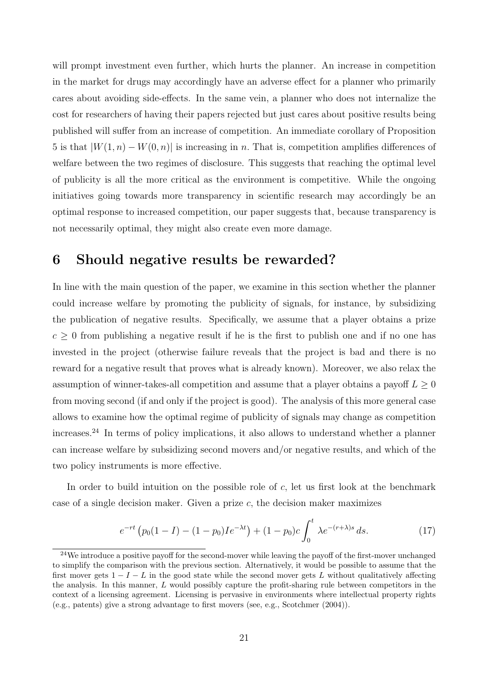will prompt investment even further, which hurts the planner. An increase in competition in the market for drugs may accordingly have an adverse effect for a planner who primarily cares about avoiding side-effects. In the same vein, a planner who does not internalize the cost for researchers of having their papers rejected but just cares about positive results being published will suffer from an increase of competition. An immediate corollary of Proposition 5 is that  $|W(1,n) - W(0,n)|$  is increasing in n. That is, competition amplifies differences of welfare between the two regimes of disclosure. This suggests that reaching the optimal level of publicity is all the more critical as the environment is competitive. While the ongoing initiatives going towards more transparency in scientific research may accordingly be an optimal response to increased competition, our paper suggests that, because transparency is not necessarily optimal, they might also create even more damage.

### 6 Should negative results be rewarded?

In line with the main question of the paper, we examine in this section whether the planner could increase welfare by promoting the publicity of signals, for instance, by subsidizing the publication of negative results. Specifically, we assume that a player obtains a prize  $c \geq 0$  from publishing a negative result if he is the first to publish one and if no one has invested in the project (otherwise failure reveals that the project is bad and there is no reward for a negative result that proves what is already known). Moreover, we also relax the assumption of winner-takes-all competition and assume that a player obtains a payoff  $L \geq 0$ from moving second (if and only if the project is good). The analysis of this more general case allows to examine how the optimal regime of publicity of signals may change as competition increases.<sup>24</sup> In terms of policy implications, it also allows to understand whether a planner can increase welfare by subsidizing second movers and/or negative results, and which of the two policy instruments is more effective.

In order to build intuition on the possible role of  $c$ , let us first look at the benchmark case of a single decision maker. Given a prize  $c$ , the decision maker maximizes

$$
e^{-rt} \left( p_0(1-I) - (1-p_0)I e^{-\lambda t} \right) + (1-p_0)c \int_0^t \lambda e^{-(r+\lambda)s} ds.
$$
 (17)

<sup>&</sup>lt;sup>24</sup>We introduce a positive payoff for the second-mover while leaving the payoff of the first-mover unchanged to simplify the comparison with the previous section. Alternatively, it would be possible to assume that the first mover gets  $1 - I - L$  in the good state while the second mover gets L without qualitatively affecting the analysis. In this manner, L would possibly capture the profit-sharing rule between competitors in the context of a licensing agreement. Licensing is pervasive in environments where intellectual property rights (e.g., patents) give a strong advantage to first movers (see, e.g., Scotchmer (2004)).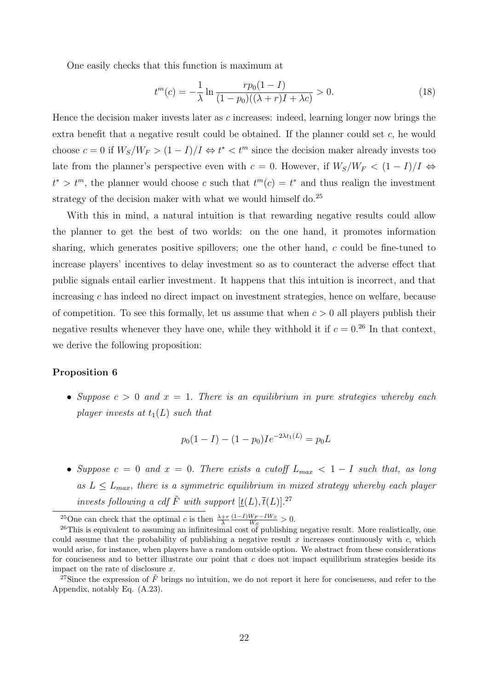One easily checks that this function is maximum at

$$
t^{m}(c) = -\frac{1}{\lambda} \ln \frac{rp_{0}(1-I)}{(1-p_{0})((\lambda+r)I+\lambda c)} > 0.
$$
 (18)

Hence the decision maker invests later as c increases: indeed, learning longer now brings the extra benefit that a negative result could be obtained. If the planner could set  $c$ , he would choose  $c = 0$  if  $W_S/W_F > (1 - I)/I \Leftrightarrow t^* < t^m$  since the decision maker already invests too late from the planner's perspective even with  $c = 0$ . However, if  $W_S/W_F < (1 - I)/I \Leftrightarrow$  $t^* > t^m$ , the planner would choose c such that  $t^m(c) = t^*$  and thus realign the investment strategy of the decision maker with what we would himself do.<sup>25</sup>

With this in mind, a natural intuition is that rewarding negative results could allow the planner to get the best of two worlds: on the one hand, it promotes information sharing, which generates positive spillovers; one the other hand,  $c$  could be fine-tuned to increase players' incentives to delay investment so as to counteract the adverse effect that public signals entail earlier investment. It happens that this intuition is incorrect, and that increasing c has indeed no direct impact on investment strategies, hence on welfare, because of competition. To see this formally, let us assume that when  $c > 0$  all players publish their negative results whenever they have one, while they withhold it if  $c = 0.26$  In that context, we derive the following proposition:

#### Proposition 6

• Suppose  $c > 0$  and  $x = 1$ . There is an equilibrium in pure strategies whereby each player invests at  $t_1(L)$  such that

$$
p_0(1-I) - (1-p_0)Ie^{-2\lambda t_1(L)} = p_0L
$$

• Suppose  $c = 0$  and  $x = 0$ . There exists a cutoff  $L_{max} < 1 - I$  such that, as long as  $L \le L_{max}$ , there is a symmetric equilibrium in mixed strategy whereby each player invests following a cdf  $\tilde{F}$  with support  $[t(L), \overline{t}(L)]$ .<sup>27</sup>

<sup>&</sup>lt;sup>25</sup>One can check that the optimal c is then  $\frac{\lambda+r}{\lambda} \frac{(1-I)W_F - IN_S}{W_S}$  $\frac{W_F - I W_S}{W_S} > 0.$ 

 $^{26}$ This is equivalent to assuming an infinitesimal cost of publishing negative result. More realistically, one could assume that the probability of publishing a negative result x increases continuously with  $c$ , which would arise, for instance, when players have a random outside option. We abstract from these considerations for conciseness and to better illustrate our point that  $c$  does not impact equilibrium strategies beside its impact on the rate of disclosure  $x$ .

<sup>&</sup>lt;sup>27</sup>Since the expression of  $\tilde{F}$  brings no intuition, we do not report it here for conciseness, and refer to the Appendix, notably Eq. (A.23).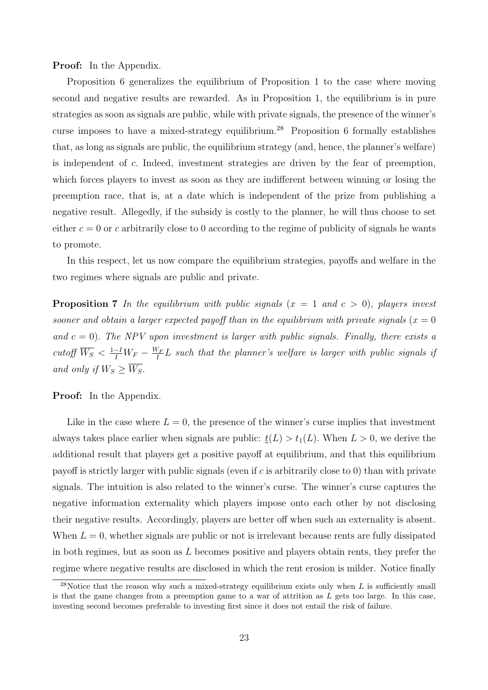Proof: In the Appendix.

Proposition 6 generalizes the equilibrium of Proposition 1 to the case where moving second and negative results are rewarded. As in Proposition 1, the equilibrium is in pure strategies as soon as signals are public, while with private signals, the presence of the winner's curse imposes to have a mixed-strategy equilibrium.<sup>28</sup> Proposition 6 formally establishes that, as long as signals are public, the equilibrium strategy (and, hence, the planner's welfare) is independent of c. Indeed, investment strategies are driven by the fear of preemption, which forces players to invest as soon as they are indifferent between winning or losing the preemption race, that is, at a date which is independent of the prize from publishing a negative result. Allegedly, if the subsidy is costly to the planner, he will thus choose to set either  $c = 0$  or c arbitrarily close to 0 according to the regime of publicity of signals he wants to promote.

In this respect, let us now compare the equilibrium strategies, payoffs and welfare in the two regimes where signals are public and private.

**Proposition 7** In the equilibrium with public signals  $(x = 1 \text{ and } c > 0)$ , players invest sooner and obtain a larger expected payoff than in the equilibrium with private signals ( $x = 0$ ) and  $c = 0$ ). The NPV upon investment is larger with public signals. Finally, there exists a  $\frac{cutoff}{W_S} < \frac{1-I}{I}W_F - \frac{W_F}{I}$  $\frac{V_F}{I}L$  such that the planner's welfare is larger with public signals if and only if  $W_S \geq \overline{W_S}$ .

Proof: In the Appendix.

Like in the case where  $L = 0$ , the presence of the winner's curse implies that investment always takes place earlier when signals are public:  $\underline{t}(L) > t_1(L)$ . When  $L > 0$ , we derive the additional result that players get a positive payoff at equilibrium, and that this equilibrium payoff is strictly larger with public signals (even if c is arbitrarily close to 0) than with private signals. The intuition is also related to the winner's curse. The winner's curse captures the negative information externality which players impose onto each other by not disclosing their negative results. Accordingly, players are better off when such an externality is absent. When  $L = 0$ , whether signals are public or not is irrelevant because rents are fully dissipated in both regimes, but as soon as  $L$  becomes positive and players obtain rents, they prefer the regime where negative results are disclosed in which the rent erosion is milder. Notice finally

<sup>&</sup>lt;sup>28</sup>Notice that the reason why such a mixed-strategy equilibrium exists only when  $L$  is sufficiently small is that the game changes from a preemption game to a war of attrition as  $L$  gets too large. In this case, investing second becomes preferable to investing first since it does not entail the risk of failure.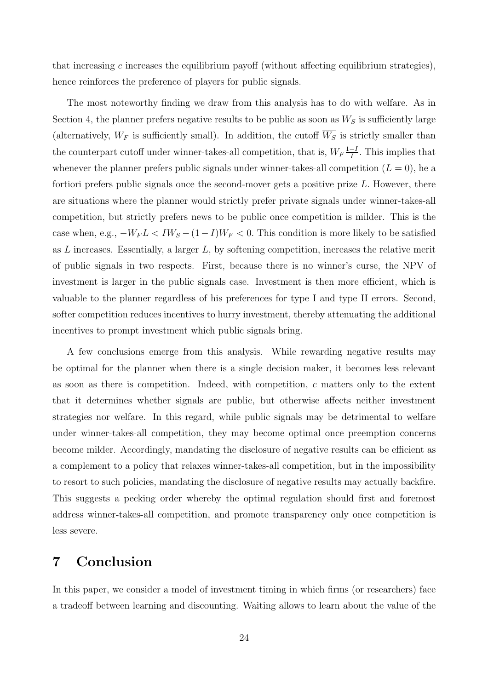that increasing c increases the equilibrium payoff (without affecting equilibrium strategies), hence reinforces the preference of players for public signals.

The most noteworthy finding we draw from this analysis has to do with welfare. As in Section 4, the planner prefers negative results to be public as soon as  $W<sub>S</sub>$  is sufficiently large (alternatively,  $W_F$  is sufficiently small). In addition, the cutoff  $\overline{W_S}$  is strictly smaller than the counterpart cutoff under winner-takes-all competition, that is,  $W_F \frac{1-l}{l}$  $\frac{-I}{I}$ . This implies that whenever the planner prefers public signals under winner-takes-all competition  $(L = 0)$ , he a fortiori prefers public signals once the second-mover gets a positive prize  $L$ . However, there are situations where the planner would strictly prefer private signals under winner-takes-all competition, but strictly prefers news to be public once competition is milder. This is the case when, e.g.,  $-W_F L < I W_S - (1-I)W_F < 0$ . This condition is more likely to be satisfied as  $L$  increases. Essentially, a larger  $L$ , by softening competition, increases the relative merit of public signals in two respects. First, because there is no winner's curse, the NPV of investment is larger in the public signals case. Investment is then more efficient, which is valuable to the planner regardless of his preferences for type I and type II errors. Second, softer competition reduces incentives to hurry investment, thereby attenuating the additional incentives to prompt investment which public signals bring.

A few conclusions emerge from this analysis. While rewarding negative results may be optimal for the planner when there is a single decision maker, it becomes less relevant as soon as there is competition. Indeed, with competition, c matters only to the extent that it determines whether signals are public, but otherwise affects neither investment strategies nor welfare. In this regard, while public signals may be detrimental to welfare under winner-takes-all competition, they may become optimal once preemption concerns become milder. Accordingly, mandating the disclosure of negative results can be efficient as a complement to a policy that relaxes winner-takes-all competition, but in the impossibility to resort to such policies, mandating the disclosure of negative results may actually backfire. This suggests a pecking order whereby the optimal regulation should first and foremost address winner-takes-all competition, and promote transparency only once competition is less severe.

# 7 Conclusion

In this paper, we consider a model of investment timing in which firms (or researchers) face a tradeoff between learning and discounting. Waiting allows to learn about the value of the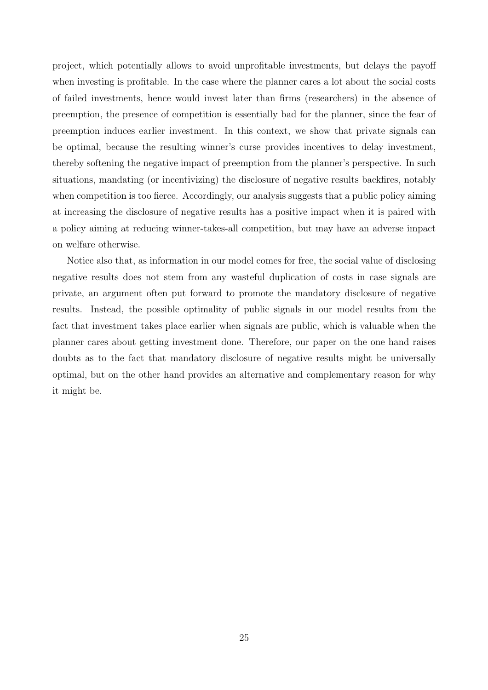project, which potentially allows to avoid unprofitable investments, but delays the payoff when investing is profitable. In the case where the planner cares a lot about the social costs of failed investments, hence would invest later than firms (researchers) in the absence of preemption, the presence of competition is essentially bad for the planner, since the fear of preemption induces earlier investment. In this context, we show that private signals can be optimal, because the resulting winner's curse provides incentives to delay investment, thereby softening the negative impact of preemption from the planner's perspective. In such situations, mandating (or incentivizing) the disclosure of negative results backfires, notably when competition is too fierce. Accordingly, our analysis suggests that a public policy aiming at increasing the disclosure of negative results has a positive impact when it is paired with a policy aiming at reducing winner-takes-all competition, but may have an adverse impact on welfare otherwise.

Notice also that, as information in our model comes for free, the social value of disclosing negative results does not stem from any wasteful duplication of costs in case signals are private, an argument often put forward to promote the mandatory disclosure of negative results. Instead, the possible optimality of public signals in our model results from the fact that investment takes place earlier when signals are public, which is valuable when the planner cares about getting investment done. Therefore, our paper on the one hand raises doubts as to the fact that mandatory disclosure of negative results might be universally optimal, but on the other hand provides an alternative and complementary reason for why it might be.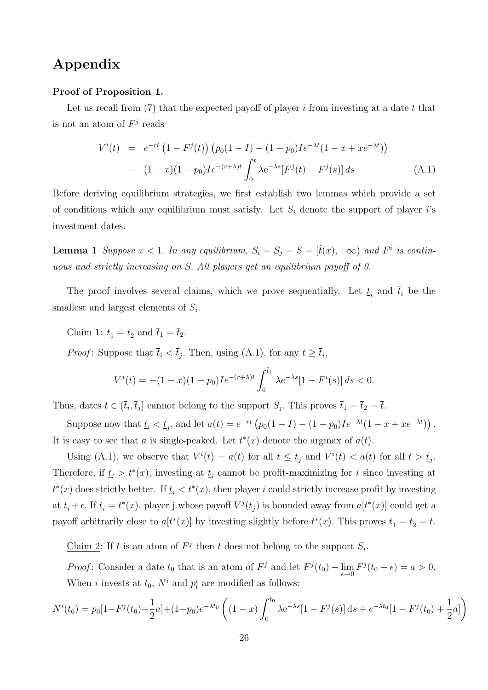# Appendix

#### Proof of Proposition 1.

Let us recall from  $(7)$  that the expected payoff of player i from investing at a date t that is not an atom of  $F<sup>j</sup>$  reads

$$
V^{i}(t) = e^{-rt} (1 - F^{j}(t)) (p_{0}(1 - I) - (1 - p_{0})I e^{-\lambda t} (1 - x + x e^{-\lambda t}))
$$
  
- (1 - x)(1 - p\_{0})I e^{-(r + \lambda)t}  $\int_{0}^{t} \lambda e^{-\lambda s} [F^{j}(t) - F^{j}(s)] ds$  (A.1)

Before deriving equilibrium strategies, we first establish two lemmas which provide a set of conditions which any equilibrium must satisfy. Let  $S_i$  denote the support of player i's investment dates.

**Lemma 1** Suppose  $x < 1$ . In any equilibrium,  $S_i = S_j = S = [\hat{t}(x), +\infty)$  and  $F^i$  is continuous and strictly increasing on S. All players get an equilibrium payoff of 0.

The proof involves several claims, which we prove sequentially. Let  $\underline{t}_i$  and  $\overline{t}_i$  be the smallest and largest elements of  $S_i$ .

Claim 1:  $t_1 = t_2$  and  $\overline{t}_1 = \overline{t}_2$ .

*Proof*: Suppose that  $\bar{t}_i < \bar{t}_j$ . Then, using (A.1), for any  $t \geq \bar{t}_i$ ,

$$
V^{j}(t) = -(1-x)(1-p_{0})I e^{-(r+\lambda)t} \int_{0}^{\overline{t}_{i}} \lambda e^{-\lambda s} [1 - F^{i}(s)] ds < 0.
$$

Thus, dates  $t \in (\bar{t}_i, \bar{t}_j]$  cannot belong to the support  $S_j$ . This proves  $\bar{t}_1 = \bar{t}_2 = \bar{t}$ .

Suppose now that  $\underline{t}_i < \underline{t}_j$ , and let  $a(t) = e^{-rt} (p_0(1 - I) - (1 - p_0)Ie^{-\lambda t}(1 - x + xe^{-\lambda t}))$ . It is easy to see that a is single-peaked. Let  $t^*(x)$  denote the argmax of  $a(t)$ .

Using (A.1), we observe that  $V^{i}(t) = a(t)$  for all  $t \leq \underline{t}_{j}$  and  $V^{i}(t) < a(t)$  for all  $t > \underline{t}_{j}$ . Therefore, if  $\underline{t}_i > t^*(x)$ , investing at  $\underline{t}_i$  cannot be profit-maximizing for i since investing at  $t^{*}(x)$  does strictly better. If  $\underline{t}_{i} < t^{*}(x)$ , then player i could strictly increase profit by investing at  $\underline{t}_i + \epsilon$ . If  $\underline{t}_i = t^*(x)$ , player j whose payoff  $V^j(\underline{t}_j)$  is bounded away from  $a[t^*(x)]$  could get a payoff arbitrarily close to  $a[t^*(x)]$  by investing slightly before  $t^*(x)$ . This proves  $\underline{t}_1 = \underline{t}_2 = \underline{t}$ .

Claim 2: If t is an atom of  $F^j$  then t does not belong to the support  $S_i$ .

*Proof*: Consider a date  $t_0$  that is an atom of  $F^j$  and let  $F^j(t_0) - \lim_{\epsilon \to 0} F^j(t_0 - \epsilon) = a > 0$ . When *i* invests at  $t_0$ ,  $N^i$  and  $p_t^i$  are modified as follows:

$$
N^{i}(t_{0}) = p_{0}[1 - F^{j}(t_{0}) + \frac{1}{2}a] + (1 - p_{0})e^{-\lambda t_{0}} \left( (1 - x) \int_{0}^{t_{0}} \lambda e^{-\lambda s} [1 - F^{j}(s)] ds + e^{-\lambda t_{0}} [1 - F^{j}(t_{0}) + \frac{1}{2}a] \right)
$$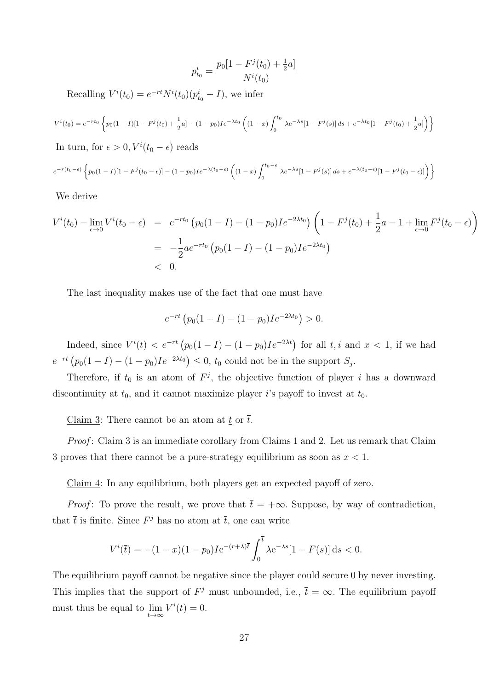$$
p_{t_0}^i = \frac{p_0[1 - F^j(t_0) + \frac{1}{2}a]}{N^i(t_0)}
$$

Recalling  $V^i(t_0) = e^{-rt} N^i(t_0) (p_{t_0}^i - I)$ , we infer

$$
V^{i}(t_{0}) = e^{-rt_{0}} \left\{ p_{0}(1-I)[1 - F^{j}(t_{0}) + \frac{1}{2}a] - (1-p_{0})Ie^{-\lambda t_{0}} \left( (1-x)\int_{0}^{t_{0}} \lambda e^{-\lambda s}[1 - F^{j}(s)] ds + e^{-\lambda t_{0}}[1 - F^{j}(t_{0}) + \frac{1}{2}a] \right) \right\}
$$

In turn, for  $\epsilon > 0, V^i(t_0 - \epsilon)$  reads

$$
e^{-r(t_0-\epsilon)}\left\{p_0(1-I)[1-F^j(t_0-\epsilon)]-(1-p_0)Ie^{-\lambda(t_0-\epsilon)}\left((1-x)\int_0^{t_0-\epsilon}\lambda e^{-\lambda s}[1-F^j(s)]ds+e^{-\lambda(t_0-\epsilon)}[1-F^j(t_0-\epsilon)]\right)\right\}
$$

We derive

$$
V^{i}(t_{0}) - \lim_{\epsilon \to 0} V^{i}(t_{0} - \epsilon) = e^{-rt_{0}} \left( p_{0}(1 - I) - (1 - p_{0})I e^{-2\lambda t_{0}} \right) \left( 1 - F^{j}(t_{0}) + \frac{1}{2}a - 1 + \lim_{\epsilon \to 0} F^{j}(t_{0} - \epsilon) \right)
$$
  
= 
$$
-\frac{1}{2} a e^{-rt_{0}} \left( p_{0}(1 - I) - (1 - p_{0})I e^{-2\lambda t_{0}} \right)
$$
  
< 0.

The last inequality makes use of the fact that one must have

$$
e^{-rt}\left(p_0(1-I)-(1-p_0)Ie^{-2\lambda t_0}\right)>0.
$$

Indeed, since  $V^{i}(t) < e^{-rt} (p_0(1-I) - (1-p_0)Ie^{-2\lambda t})$  for all  $t, i$  and  $x < 1$ , if we had  $e^{-rt} (p_0(1-I) - (1-p_0)Ie^{-2\lambda t_0}) \leq 0, t_0$  could not be in the support  $S_j$ .

Therefore, if  $t_0$  is an atom of  $F^j$ , the objective function of player i has a downward discontinuity at  $t_0$ , and it cannot maximize player i's payoff to invest at  $t_0$ .

Claim 3: There cannot be an atom at  $\underline{t}$  or  $\overline{t}$ .

Proof: Claim 3 is an immediate corollary from Claims 1 and 2. Let us remark that Claim 3 proves that there cannot be a pure-strategy equilibrium as soon as  $x < 1$ .

Claim 4: In any equilibrium, both players get an expected payoff of zero.

*Proof*: To prove the result, we prove that  $\bar{t} = +\infty$ . Suppose, by way of contradiction, that  $\bar{t}$  is finite. Since  $F^j$  has no atom at  $\bar{t}$ , one can write

$$
V^{i}(\bar{t}) = -(1-x)(1-p_{0})I e^{-(r+\lambda)\bar{t}} \int_{0}^{\bar{t}} \lambda e^{-\lambda s} [1 - F(s)] ds < 0.
$$

The equilibrium payoff cannot be negative since the player could secure 0 by never investing. This implies that the support of  $F^j$  must unbounded, i.e.,  $\bar{t} = \infty$ . The equilibrium payoff must thus be equal to  $\lim_{t\to\infty} V^i(t) = 0.$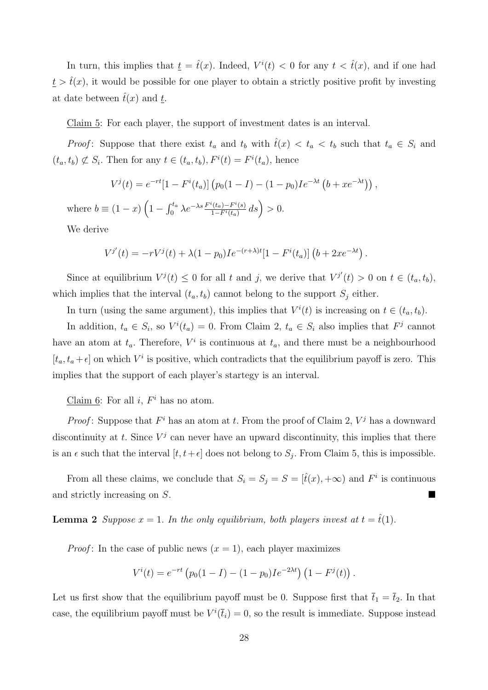In turn, this implies that  $\underline{t} = \hat{t}(x)$ . Indeed,  $V^i(t) < 0$  for any  $t < \hat{t}(x)$ , and if one had  $t > \hat{t}(x)$ , it would be possible for one player to obtain a strictly positive profit by investing at date between  $\hat{t}(x)$  and t.

Claim 5: For each player, the support of investment dates is an interval.

*Proof*: Suppose that there exist  $t_a$  and  $t_b$  with  $\hat{t}(x) < t_a < t_b$  such that  $t_a \in S_i$  and  $(t_a, t_b) \not\subset S_i$ . Then for any  $t \in (t_a, t_b), F^i(t) = F^i(t_a)$ , hence

$$
V^{j}(t) = e^{-rt}[1 - F^{i}(t_{a})] (p_{0}(1 - I) - (1 - p_{0})I e^{-\lambda t} (b + x e^{-\lambda t})) ,
$$

where  $b \equiv (1-x)\left(1-\int_0^{t_a} \lambda e^{-\lambda s} \frac{F^i(t_a)-F^i(s)}{1-F^i(t_a)}\right)$  $\frac{f^{i}(t_{a})-F^{i}(s)}{1-F^{i}(t_{a})} ds = 0.$ 

We derive

$$
V^{j'}(t) = -rV^{j}(t) + \lambda(1-p_{0})Ie^{-(r+\lambda)t}[1 - F^{i}(t_{a})] (b + 2xe^{-\lambda t}).
$$

Since at equilibrium  $V^{j}(t) \leq 0$  for all t and j, we derive that  $V^{j'}(t) > 0$  on  $t \in (t_a, t_b)$ , which implies that the interval  $(t_a, t_b)$  cannot belong to the support  $S_j$  either.

In turn (using the same argument), this implies that  $V^i(t)$  is increasing on  $t \in (t_a, t_b)$ .

In addition,  $t_a \in S_i$ , so  $V^i(t_a) = 0$ . From Claim 2,  $t_a \in S_i$  also implies that  $F^j$  cannot have an atom at  $t_a$ . Therefore,  $V^i$  is continuous at  $t_a$ , and there must be a neighbourhood  $[t_a, t_a + \epsilon]$  on which  $V^i$  is positive, which contradicts that the equilibrium payoff is zero. This implies that the support of each player's startegy is an interval.

#### Claim 6: For all  $i, F<sup>i</sup>$  has no atom.

*Proof*: Suppose that  $F^i$  has an atom at t. From the proof of Claim 2,  $V^j$  has a downward discontinuity at t. Since  $V^j$  can never have an upward discontinuity, this implies that there is an  $\epsilon$  such that the interval  $[t, t+\epsilon]$  does not belong to  $S_j$ . From Claim 5, this is impossible.

From all these claims, we conclude that  $S_i = S_j = S = [\hat{t}(x), +\infty)$  and  $F^i$  is continuous and strictly increasing on S.

#### **Lemma 2** Suppose  $x = 1$ . In the only equilibrium, both players invest at  $t = \hat{t}(1)$ .

*Proof*: In the case of public news  $(x = 1)$ , each player maximizes

$$
V^{i}(t) = e^{-rt} \left( p_0(1 - I) - (1 - p_0)I e^{-2\lambda t} \right) \left( 1 - F^{j}(t) \right)
$$

.

Let us first show that the equilibrium payoff must be 0. Suppose first that  $\bar{t}_1 = \bar{t}_2$ . In that case, the equilibrium payoff must be  $V^i(\bar{t}_i) = 0$ , so the result is immediate. Suppose instead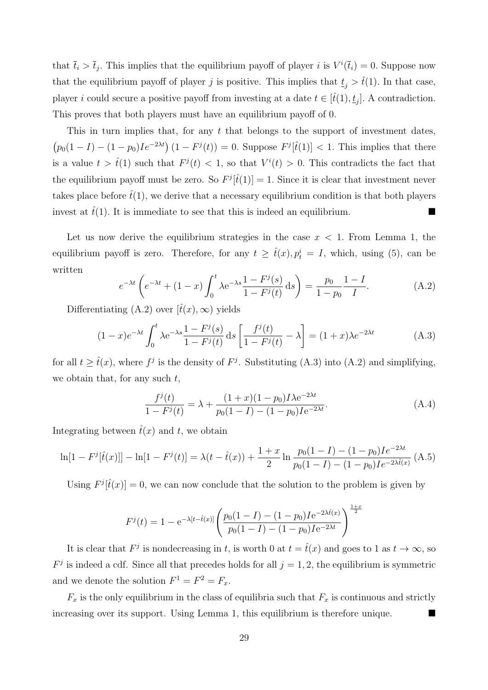that  $\bar{t}_i > \bar{t}_j$ . This implies that the equilibrium payoff of player i is  $V^i(\bar{t}_i) = 0$ . Suppose now that the equilibrium payoff of player j is positive. This implies that  $\underline{t}_j > \hat{t}(1)$ . In that case, player i could secure a positive payoff from investing at a date  $t \in [\hat{t}(1), \underline{t}_j]$ . A contradiction. This proves that both players must have an equilibrium payoff of 0.

This in turn implies that, for any  $t$  that belongs to the support of investment dates,  $\left(p_0(1-I)-(1-p_0)Ie^{-2\lambda t}\right)(1-F^{j}(t))=0.$  Suppose  $F^{j}[\hat{t}(1)]<1.$  This implies that there is a value  $t > \hat{t}(1)$  such that  $F^{j}(t) < 1$ , so that  $V^{i}(t) > 0$ . This contradicts the fact that the equilibrium payoff must be zero. So  $F^j[\hat{t}(1)] = 1$ . Since it is clear that investment never takes place before  $\hat{t}(1)$ , we derive that a necessary equilibrium condition is that both players invest at  $\hat{t}(1)$ . It is immediate to see that this is indeed an equilibrium.

Let us now derive the equilibrium strategies in the case  $x < 1$ . From Lemma 1, the equilibrium payoff is zero. Therefore, for any  $t \geq \hat{t}(x)$ ,  $p_t^i = I$ , which, using (5), can be written

$$
e^{-\lambda t} \left( e^{-\lambda t} + (1 - x) \int_0^t \lambda e^{-\lambda s} \frac{1 - F^j(s)}{1 - F^j(t)} ds \right) = \frac{p_0}{1 - p_0} \frac{1 - I}{I}.
$$
 (A.2)

Differentiating (A.2) over  $[\hat{t}(x), \infty)$  yields

$$
(1-x)e^{-\lambda t} \int_0^t \lambda e^{-\lambda s} \frac{1 - F^j(s)}{1 - F^j(t)} ds \left[ \frac{f^j(t)}{1 - F^j(t)} - \lambda \right] = (1+x)\lambda e^{-2\lambda t}
$$
 (A.3)

for all  $t \geq \hat{t}(x)$ , where  $f^j$  is the density of  $F^j$ . Substituting (A.3) into (A.2) and simplifying, we obtain that, for any such  $t$ ,

$$
\frac{f^{j}(t)}{1 - F^{j}(t)} = \lambda + \frac{(1+x)(1 - p_{0})I\lambda e^{-2\lambda t}}{p_{0}(1 - I) - (1 - p_{0})I e^{-2\lambda t}}.
$$
\n(A.4)

Integrating between  $\hat{t}(x)$  and t, we obtain

$$
\ln[1 - F^{j}[\hat{t}(x)]] - \ln[1 - F^{j}(t)] = \lambda(t - \hat{t}(x)) + \frac{1 + x}{2} \ln \frac{p_0(1 - I) - (1 - p_0)Ie^{-2\lambda t}}{p_0(1 - I) - (1 - p_0)Ie^{-2\lambda \hat{t}(x)}} \tag{A.5}
$$

Using  $F^j[\hat{t}(x)] = 0$ , we can now conclude that the solution to the problem is given by

$$
F^{j}(t) = 1 - e^{-\lambda[t - \hat{t}(x)]} \left( \frac{p_0(1 - I) - (1 - p_0)Ie^{-2\lambda\hat{t}(x)}}{p_0(1 - I) - (1 - p_0)Ie^{-2\lambda t}} \right)^{\frac{1+x}{2}}
$$

It is clear that  $F^j$  is nondecreasing in t, is worth 0 at  $t = \hat{t}(x)$  and goes to 1 as  $t \to \infty$ , so  $F^j$  is indeed a cdf. Since all that precedes holds for all  $j = 1, 2$ , the equilibrium is symmetric and we denote the solution  $F^1 = F^2 = F_x$ .

 $F_x$  is the only equilibrium in the class of equilibria such that  $F_x$  is continuous and strictly increasing over its support. Using Lemma 1, this equilibrium is therefore unique.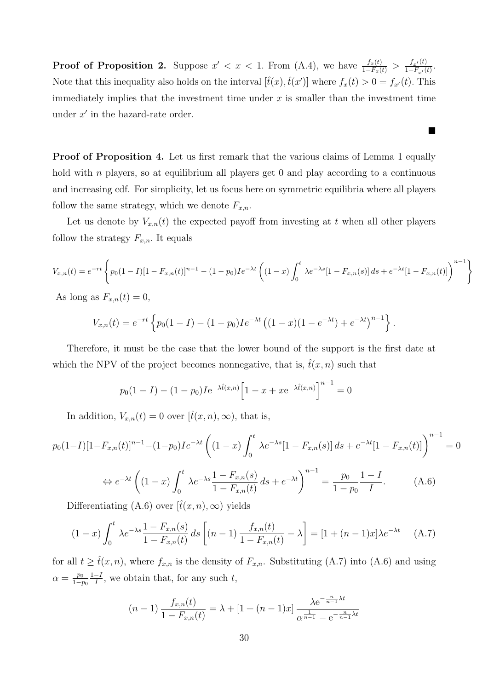**Proof of Proposition 2.** Suppose  $x' < x < 1$ . From (A.4), we have  $\frac{f_x(t)}{1-F_x(t)} > \frac{f_{x'}(t)}{1-F_{x'}(t)}$  $\frac{J_{x'}(t)}{1-F_{x'}(t)}$ . Note that this inequality also holds on the interval  $[\hat{t}(x), \hat{t}(x')]$  where  $f_x(t) > 0 = f_{x'}(t)$ . This immediately implies that the investment time under  $x$  is smaller than the investment time under  $x'$  in the hazard-rate order.

 $\blacksquare$ 

Proof of Proposition 4. Let us first remark that the various claims of Lemma 1 equally hold with  $n$  players, so at equilibrium all players get 0 and play according to a continuous and increasing cdf. For simplicity, let us focus here on symmetric equilibria where all players follow the same strategy, which we denote  $F_{x,n}$ .

Let us denote by  $V_{x,n}(t)$  the expected payoff from investing at t when all other players follow the strategy  $F_{x,n}$ . It equals

$$
V_{x,n}(t) = e^{-rt} \left\{ p_0(1-I)[1 - F_{x,n}(t)]^{n-1} - (1-p_0)I e^{-\lambda t} \left( (1-x) \int_0^t \lambda e^{-\lambda s} [1 - F_{x,n}(s)] ds + e^{-\lambda t} [1 - F_{x,n}(t)] \right)^{n-1} \right\}
$$

As long as  $F_{x,n}(t) = 0$ ,

$$
V_{x,n}(t) = e^{-rt} \left\{ p_0(1-I) - (1-p_0)I e^{-\lambda t} ((1-x)(1-e^{-\lambda t}) + e^{-\lambda t})^{n-1} \right\}.
$$

Therefore, it must be the case that the lower bound of the support is the first date at which the NPV of the project becomes nonnegative, that is,  $\hat{t}(x, n)$  such that

$$
p_0(1 - I) - (1 - p_0)I e^{-\lambda \hat{t}(x, n)} \left[ 1 - x + x e^{-\lambda \hat{t}(x, n)} \right]^{n-1} = 0
$$

In addition,  $V_{x,n}(t) = 0$  over  $[\hat{t}(x,n),\infty)$ , that is,

$$
p_0(1-I)[1-F_{x,n}(t)]^{n-1} - (1-p_0)I e^{-\lambda t} \left( (1-x) \int_0^t \lambda e^{-\lambda s} [1-F_{x,n}(s)] ds + e^{-\lambda t} [1-F_{x,n}(t)] \right)^{n-1} = 0
$$

$$
\Leftrightarrow e^{-\lambda t} \left( (1-x) \int_0^t \lambda e^{-\lambda s} \frac{1 - F_{x,n}(s)}{1 - F_{x,n}(t)} ds + e^{-\lambda t} \right)^{n-1} = \frac{p_0}{1 - p_0} \frac{1 - I}{I}.
$$
 (A.6)

Differentiating  $(A.6)$  over  $[\hat{t}(x, n), \infty)$  yields

$$
(1-x)\int_0^t \lambda e^{-\lambda s} \frac{1-F_{x,n}(s)}{1-F_{x,n}(t)} ds \left[ (n-1) \frac{f_{x,n}(t)}{1-F_{x,n}(t)} - \lambda \right] = [1 + (n-1)x] \lambda e^{-\lambda t} \tag{A.7}
$$

for all  $t \geq \hat{t}(x, n)$ , where  $f_{x,n}$  is the density of  $F_{x,n}$ . Substituting (A.7) into (A.6) and using  $\alpha = \frac{p_0}{1 - r}$  $1-p_0$  $1-I$  $\frac{-I}{I}$ , we obtain that, for any such t,

$$
(n-1)\frac{f_{x,n}(t)}{1-F_{x,n}(t)} = \lambda + [1+(n-1)x]\frac{\lambda e^{-\frac{n}{n-1}\lambda t}}{\alpha^{\frac{1}{n-1}} - e^{-\frac{n}{n-1}\lambda t}}
$$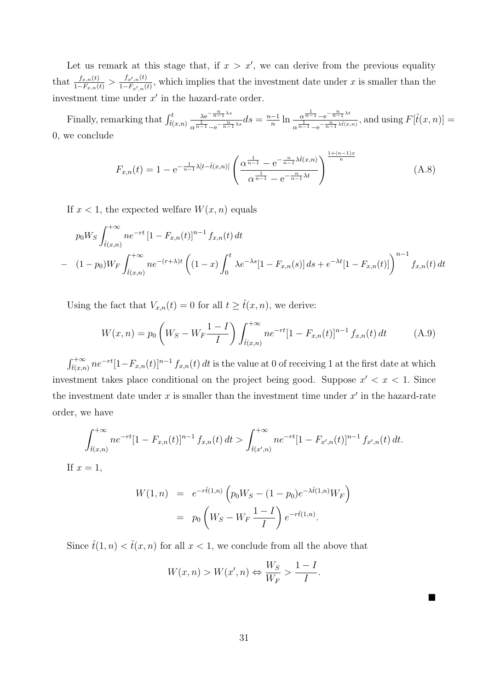Let us remark at this stage that, if  $x > x'$ , we can derive from the previous equality that  $\frac{f_{x,n}(t)}{1-F_{x,n}(t)} > \frac{f_{x',n}(t)}{1-F_{x',n}(t)}$  $\frac{J_{x',n}(t)}{1-F_{x',n}(t)}$ , which implies that the investment date under x is smaller than the investment time under  $x'$  in the hazard-rate order.

Finally, remarking that  $\int_{\hat{t}(x,n)}^t \frac{\lambda e^{-\frac{n}{n-1}\lambda s}}{\lambda e^{-\frac{n}{n-1}}\lambda e^{-\frac{n}{n-1}}}$  $\frac{\lambda e^{-\frac{1}{n-1}x}}{\lambda^{\frac{1}{n-1}}-e^{-\frac{n}{n-1}\lambda s}}ds = \frac{n-1}{n}$  $\frac{-1}{n}\ln\frac{\alpha^{\frac{1}{n-1}}-e^{-\frac{n}{n-1}\lambda t}}{\alpha^{\frac{1}{n-1}}-e^{-\frac{n}{n-1}\lambda t}}$  $\frac{\alpha^{\overline{n-1}}-e^{-\overline{n-1}}\lambda^{\overline{\alpha}}}{\alpha^{\overline{n-1}}-e^{-\overline{n-1}}\lambda^{\overline{\alpha}}(x,n)}$ , and using  $F[\hat{t}(x,n)] =$ 0, we conclude

$$
F_{x,n}(t) = 1 - e^{-\frac{1}{n-1}\lambda[t - \hat{t}(x,n)]} \left(\frac{\alpha^{\frac{1}{n-1}} - e^{-\frac{n}{n-1}\lambda\hat{t}(x,n)}}{\alpha^{\frac{1}{n-1}} - e^{-\frac{n}{n-1}\lambda t}}\right)^{\frac{1 + (n-1)x}{n}}
$$
(A.8)

If  $x < 1$ , the expected welfare  $W(x, n)$  equals

$$
p_0 W_S \int_{\hat{t}(x,n)}^{+\infty} n e^{-rt} \left[1 - F_{x,n}(t)\right]^{n-1} f_{x,n}(t) dt
$$
  
 
$$
- (1-p_0) W_F \int_{\hat{t}(x,n)}^{+\infty} n e^{-(r+\lambda)t} \left( (1-x) \int_0^t \lambda e^{-\lambda s} [1 - F_{x,n}(s)] ds + e^{-\lambda t} [1 - F_{x,n}(t)] \right)^{n-1} f_{x,n}(t) dt
$$

Using the fact that  $V_{x,n}(t) = 0$  for all  $t \geq \hat{t}(x,n)$ , we derive:

$$
W(x, n) = p_0 \left( W_S - W_F \frac{1 - I}{I} \right) \int_{\hat{t}(x, n)}^{+\infty} n e^{-rt} [1 - F_{x, n}(t)]^{n-1} f_{x, n}(t) dt \tag{A.9}
$$

 $\int_{\hat{t}(x,n)}^{+\infty} n e^{-rt} [1-F_{x,n}(t)]^{n-1} f_{x,n}(t) dt$  is the value at 0 of receiving 1 at the first date at which investment takes place conditional on the project being good. Suppose  $x' < x < 1$ . Since the investment date under x is smaller than the investment time under  $x'$  in the hazard-rate order, we have

$$
\int_{\hat{t}(x,n)}^{+\infty} n e^{-rt} [1 - F_{x,n}(t)]^{n-1} f_{x,n}(t) dt > \int_{\hat{t}(x',n)}^{+\infty} n e^{-rt} [1 - F_{x',n}(t)]^{n-1} f_{x',n}(t) dt.
$$
  
If  $x = 1$ ,

$$
W(1,n) = e^{-r\hat{t}(1,n)} \left( p_0 W_S - (1-p_0)e^{-\lambda \hat{t}(1,n)} W_F \right)
$$
  
=  $p_0 \left( W_S - W_F \frac{1-I}{I} \right) e^{-r\hat{t}(1,n)}.$ 

Since  $\hat{t}(1, n) < \hat{t}(x, n)$  for all  $x < 1$ , we conclude from all the above that

$$
W(x, n) > W(x', n) \Leftrightarrow \frac{W_S}{W_F} > \frac{1 - I}{I}.
$$

 $\blacksquare$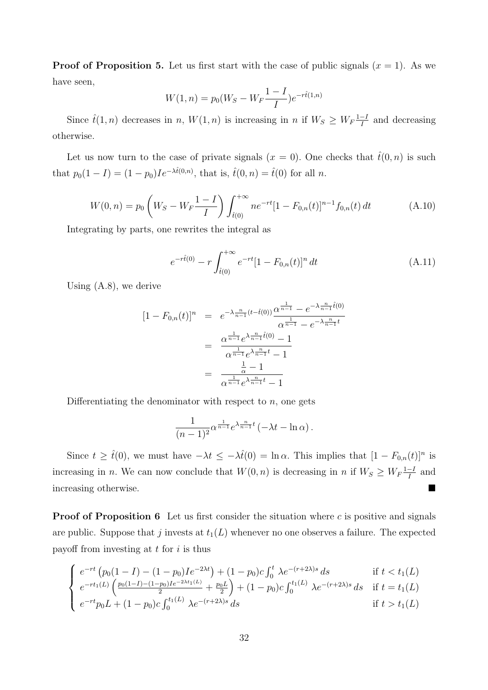**Proof of Proposition 5.** Let us first start with the case of public signals  $(x = 1)$ . As we have seen,

$$
W(1, n) = p_0(W_S - W_F \frac{1 - I}{I})e^{-r\hat{t}(1, n)}
$$

Since  $\hat{t}(1,n)$  decreases in n,  $W(1,n)$  is increasing in n if  $W_S \geq W_F \frac{1-l}{l}$  $\frac{-I}{I}$  and decreasing otherwise.

Let us now turn to the case of private signals  $(x = 0)$ . One checks that  $\hat{t}(0, n)$  is such that  $p_0(1-I) = (1-p_0)Ie^{-\lambda \hat{t}(0,n)},$  that is,  $\hat{t}(0,n) = \hat{t}(0)$  for all n.

$$
W(0,n) = p_0 \left( W_S - W_F \frac{1-I}{I} \right) \int_{\hat{t}(0)}^{+\infty} n e^{-rt} [1 - F_{0,n}(t)]^{n-1} f_{0,n}(t) dt \tag{A.10}
$$

Integrating by parts, one rewrites the integral as

$$
e^{-r\hat{t}(0)} - r \int_{\hat{t}(0)}^{+\infty} e^{-rt} [1 - F_{0,n}(t)]^n dt \qquad (A.11)
$$

Using (A.8), we derive

$$
[1 - F_{0,n}(t)]^n = e^{-\lambda \frac{n}{n-1}(t - \hat{t}(0))} \frac{\alpha^{\frac{1}{n-1}} - e^{-\lambda \frac{n}{n-1}\hat{t}(0)}}{\alpha^{\frac{1}{n-1}} - e^{-\lambda \frac{n}{n-1}t}}
$$
  

$$
= \frac{\alpha^{\frac{1}{n-1}} e^{\lambda \frac{n}{n-1}\hat{t}(0)} - 1}{\alpha^{\frac{1}{n-1}} e^{\lambda \frac{n}{n-1}t} - 1}
$$
  

$$
= \frac{\frac{1}{\alpha} - 1}{\alpha^{\frac{1}{n-1}} e^{\lambda \frac{n}{n-1}t} - 1}
$$

Differentiating the denominator with respect to  $n$ , one gets

$$
\frac{1}{(n-1)^2} \alpha^{\frac{1}{n-1}} e^{\lambda \frac{n}{n-1}t} \left(-\lambda t - \ln \alpha\right).
$$

Since  $t \geq \hat{t}(0)$ , we must have  $-\lambda t \leq -\lambda \hat{t}(0) = \ln \alpha$ . This implies that  $[1 - F_{0,n}(t)]^n$  is increasing in n. We can now conclude that  $W(0, n)$  is decreasing in n if  $W_S \geq W_F \frac{1-l}{l}$  $\frac{-I}{I}$  and increasing otherwise.

**Proof of Proposition 6** Let us first consider the situation where c is positive and signals are public. Suppose that j invests at  $t_1(L)$  whenever no one observes a failure. The expected payoff from investing at  $t$  for  $i$  is thus

$$
\begin{cases}\ne^{-rt}\left(p_0(1-I) - (1-p_0)Ie^{-2\lambda t}\right) + (1-p_0)c\int_0^t \lambda e^{-(r+2\lambda)s} ds & \text{if } t < t_1(L) \\
e^{-rt_1(L)}\left(\frac{p_0(1-I) - (1-p_0)Ie^{-2\lambda t_1(L)}}{2} + \frac{p_0L}{2}\right) + (1-p_0)c\int_0^{t_1(L)} \lambda e^{-(r+2\lambda)s} ds & \text{if } t = t_1(L) \\
e^{-rt}p_0L + (1-p_0)c\int_0^{t_1(L)} \lambda e^{-(r+2\lambda)s} ds & \text{if } t > t_1(L)\n\end{cases}
$$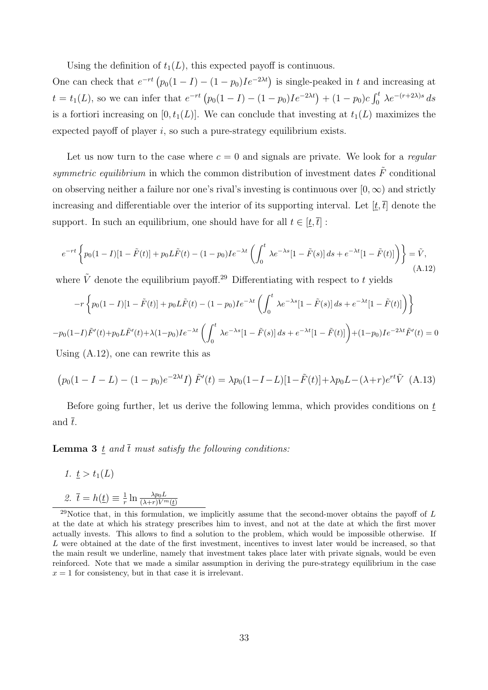Using the definition of  $t_1(L)$ , this expected payoff is continuous.

One can check that  $e^{-rt}(p_0(1-I)-(1-p_0)Ie^{-2\lambda t})$  is single-peaked in t and increasing at  $t = t_1(L)$ , so we can infer that  $e^{-rt} (p_0(1 - I) - (1 - p_0)Ie^{-2\lambda t}) + (1 - p_0)c \int_0^t \lambda e^{-(r+2\lambda)s} ds$ is a fortiori increasing on  $[0, t_1(L)]$ . We can conclude that investing at  $t_1(L)$  maximizes the expected payoff of player  $i$ , so such a pure-strategy equilibrium exists.

Let us now turn to the case where  $c = 0$  and signals are private. We look for a *regular* symmetric equilibrium in which the common distribution of investment dates  $\tilde{F}$  conditional on observing neither a failure nor one's rival's investing is continuous over  $[0, \infty)$  and strictly increasing and differentiable over the interior of its supporting interval. Let  $[t,\bar{t}]$  denote the support. In such an equilibrium, one should have for all  $t \in [\underline{t}, \overline{t}]$ :

$$
e^{-rt} \left\{ p_0(1-I)[1-\tilde{F}(t)] + p_0 L\tilde{F}(t) - (1-p_0)I e^{-\lambda t} \left( \int_0^t \lambda e^{-\lambda s} [1-\tilde{F}(s)] ds + e^{-\lambda t} [1-\tilde{F}(t)] \right) \right\} = \tilde{V},\tag{A.12}
$$

where  $\tilde{V}$  denote the equilibrium payoff.<sup>29</sup> Differentiating with respect to t yields

$$
-r\left\{p_0(1-I)[1-\tilde{F}(t)]+p_0L\tilde{F}(t)-(1-p_0)Ie^{-\lambda t}\left(\int_0^t\lambda e^{-\lambda s}[1-\tilde{F}(s)]ds+e^{-\lambda t}[1-\tilde{F}(t)]\right)\right\}
$$

$$
-p_0(1-I)\tilde{F}'(t)+p_0L\tilde{F}'(t)+\lambda(1-p_0)Ie^{-\lambda t}\left(\int_0^t\lambda e^{-\lambda s}[1-\tilde{F}(s)]ds+e^{-\lambda t}[1-\tilde{F}(t)]\right)+(1-p_0)Ie^{-2\lambda t}\tilde{F}'(t)=0
$$

Using (A.12), one can rewrite this as

$$
(p_0(1 - I - L) - (1 - p_0)e^{-2\lambda t}I) \tilde{F}'(t) = \lambda p_0(1 - I - L)[1 - \tilde{F}(t)] + \lambda p_0 L - (\lambda + r)e^{rt}\tilde{V} \quad (A.13)
$$

Before going further, let us derive the following lemma, which provides conditions on  $\underline{t}$ and  $\bar{t}$ .

**Lemma 3**  $\bar{t}$  and  $\bar{t}$  must satisfy the following conditions:

1.  $t > t_1(L)$ 

2. 
$$
\bar{t} = h(\underline{t}) \equiv \frac{1}{r} \ln \frac{\lambda p_0 L}{(\lambda + r)V^m(\underline{t})}
$$

<sup>&</sup>lt;sup>29</sup>Notice that, in this formulation, we implicitly assume that the second-mover obtains the payoff of  $L$ at the date at which his strategy prescribes him to invest, and not at the date at which the first mover actually invests. This allows to find a solution to the problem, which would be impossible otherwise. If L were obtained at the date of the first investment, incentives to invest later would be increased, so that the main result we underline, namely that investment takes place later with private signals, would be even reinforced. Note that we made a similar assumption in deriving the pure-strategy equilibrium in the case  $x = 1$  for consistency, but in that case it is irrelevant.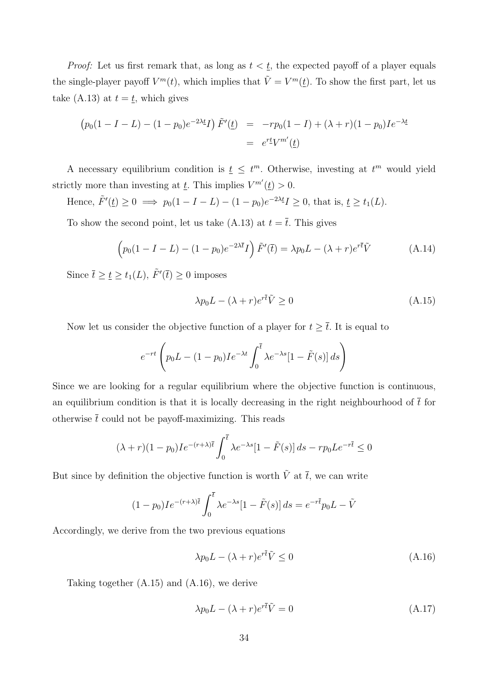*Proof:* Let us first remark that, as long as  $t < t$ , the expected payoff of a player equals the single-player payoff  $V^m(t)$ , which implies that  $\tilde{V} = V^m(\underline{t})$ . To show the first part, let us take (A.13) at  $t = \underline{t}$ , which gives

$$
(p_0(1 - I - L) - (1 - p_0)e^{-2\lambda t}I) \tilde{F}'(\underline{t}) = -rp_0(1 - I) + (\lambda + r)(1 - p_0)I e^{-\lambda \underline{t}}
$$
  
=  $e^{rt}V^{m'}(\underline{t})$ 

A necessary equilibrium condition is  $t \leq t^m$ . Otherwise, investing at  $t^m$  would yield strictly more than investing at  $\underline{t}$ . This implies  $V^{m'}(\underline{t}) > 0$ .

Hence,  $\tilde{F}'(\underline{t}) \geq 0 \implies p_0(1 - I - L) - (1 - p_0)e^{-2\lambda} \leq I \geq 0$ , that is,  $\underline{t} \geq t_1(L)$ .

To show the second point, let us take (A.13) at  $t = \overline{t}$ . This gives

$$
\left(p_0(1 - I - L) - (1 - p_0)e^{-2\lambda \bar{t}}I\right)\tilde{F}'(\bar{t}) = \lambda p_0 L - (\lambda + r)e^{r\bar{t}}\tilde{V}
$$
\n(A.14)

Since  $\bar{t} \geq \underline{t} \geq t_1(L)$ ,  $\tilde{F}'(\bar{t}) \geq 0$  imposes

$$
\lambda p_0 L - (\lambda + r) e^{r\bar{t}} \tilde{V} \ge 0 \tag{A.15}
$$

Now let us consider the objective function of a player for  $t \geq \overline{t}$ . It is equal to

$$
e^{-rt} \left( p_0 L - (1 - p_0) I e^{-\lambda t} \int_0^{\bar{t}} \lambda e^{-\lambda s} [1 - \tilde{F}(s)] ds \right)
$$

Since we are looking for a regular equilibrium where the objective function is continuous, an equilibrium condition is that it is locally decreasing in the right neighbourhood of  $\bar{t}$  for otherwise  $\bar{t}$  could not be payoff-maximizing. This reads

$$
(\lambda + r)(1 - p_0)I e^{-(r+\lambda)\overline{t}} \int_0^{\overline{t}} \lambda e^{-\lambda s} [1 - \tilde{F}(s)] ds - r p_0 L e^{-r\overline{t}} \le 0
$$

But since by definition the objective function is worth  $\tilde{V}$  at  $\bar{t}$ , we can write

$$
(1 - p_0)I e^{-(r + \lambda)\bar{t}} \int_0^{\bar{t}} \lambda e^{-\lambda s} [1 - \tilde{F}(s)] ds = e^{-r\bar{t}} p_0 L - \tilde{V}
$$

Accordingly, we derive from the two previous equations

$$
\lambda p_0 L - (\lambda + r) e^{r\bar{t}} \tilde{V} \le 0 \tag{A.16}
$$

Taking together (A.15) and (A.16), we derive

$$
\lambda p_0 L - (\lambda + r) e^{r\bar{t}} \tilde{V} = 0 \tag{A.17}
$$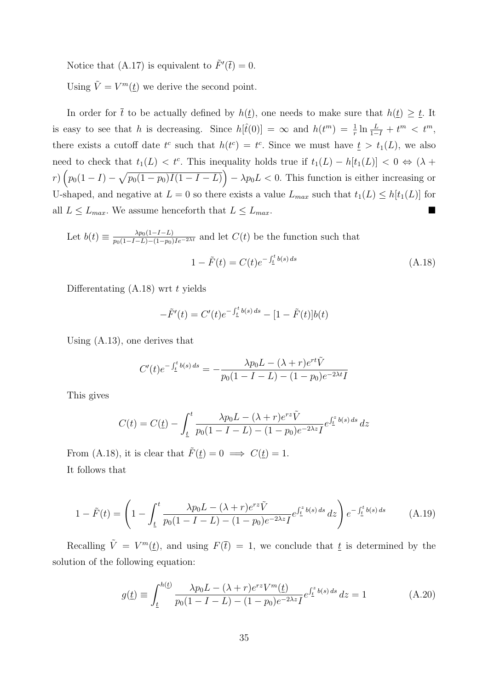Notice that (A.17) is equivalent to  $\tilde{F}'(\bar{t}) = 0$ .

Using  $\tilde{V} = V^m(\underline{t})$  we derive the second point.

In order for  $\bar{t}$  to be actually defined by  $h(\underline{t})$ , one needs to make sure that  $h(\underline{t}) \geq \underline{t}$ . It is easy to see that h is decreasing. Since  $h[\hat{t}(0)] = \infty$  and  $h(t^m) = \frac{1}{r} \ln \frac{L}{1-t} + t^m < t^m$ , there exists a cutoff date  $t^c$  such that  $h(t^c) = t^c$ . Since we must have  $\underline{t} > t_1(L)$ , we also need to check that  $t_1(L) < t^c$ . This inequality holds true if  $t_1(L) - h[t_1(L)] < 0 \Leftrightarrow (\lambda +$  $\exp\left(p_0(1-I) - \sqrt{p_0(1-p_0)I(1-I-L)}\right) - \lambda p_0L < 0.$  This function is either increasing or U-shaped, and negative at  $L = 0$  so there exists a value  $L_{max}$  such that  $t_1(L) \leq h[t_1(L)]$  for all  $L \le L_{max}$ . We assume henceforth that  $L \le L_{max}$ .

Let 
$$
b(t) \equiv \frac{\lambda p_0 (1 - I - L)}{p_0 (1 - I - L) - (1 - p_0) I e^{-2\lambda t}}
$$
 and let  $C(t)$  be the function such that  
\n
$$
1 - \tilde{F}(t) = C(t) e^{-\int_t^t b(s) ds}
$$
\n(A.18)

Differentating  $(A.18)$  wrt t yields

$$
-\tilde{F}'(t) = C'(t)e^{-\int_{\underline{t}}^t b(s) ds} - [1 - \tilde{F}(t)]b(t)
$$

Using (A.13), one derives that

$$
C'(t)e^{-\int_{\underline{t}}^t b(s) ds} = -\frac{\lambda p_0 L - (\lambda + r)e^{rt}\tilde{V}}{p_0(1 - I - L) - (1 - p_0)e^{-2\lambda t}I}
$$

This gives

$$
C(t) = C(\underline{t}) - \int_{\underline{t}}^{t} \frac{\lambda p_0 L - (\lambda + r) e^{rz} \tilde{V}}{p_0 (1 - I - L) - (1 - p_0) e^{-2\lambda z} I} e^{\int_{\underline{t}}^{z} b(s) ds} dz
$$

From (A.18), it is clear that  $\tilde{F}(\underline{t}) = 0 \implies C(\underline{t}) = 1$ . It follows that

$$
1 - \tilde{F}(t) = \left(1 - \int_{\underline{t}}^{t} \frac{\lambda p_0 L - (\lambda + r) e^{rz} \tilde{V}}{p_0 (1 - I - L) - (1 - p_0) e^{-2\lambda z} I} e^{\int_{\underline{t}}^{z} b(s) ds} dz\right) e^{-\int_{\underline{t}}^{t} b(s) ds}
$$
(A.19)

Recalling  $\tilde{V} = V^m(\underline{t})$ , and using  $F(\overline{t}) = 1$ , we conclude that  $\underline{t}$  is determined by the solution of the following equation:

$$
g(\underline{t}) \equiv \int_{\underline{t}}^{h(\underline{t})} \frac{\lambda p_0 L - (\lambda + r) e^{rz} V^m(\underline{t})}{p_0 (1 - I - L) - (1 - p_0) e^{-2\lambda z} I} e^{\int_{\underline{t}}^z b(s) ds} dz = 1
$$
 (A.20)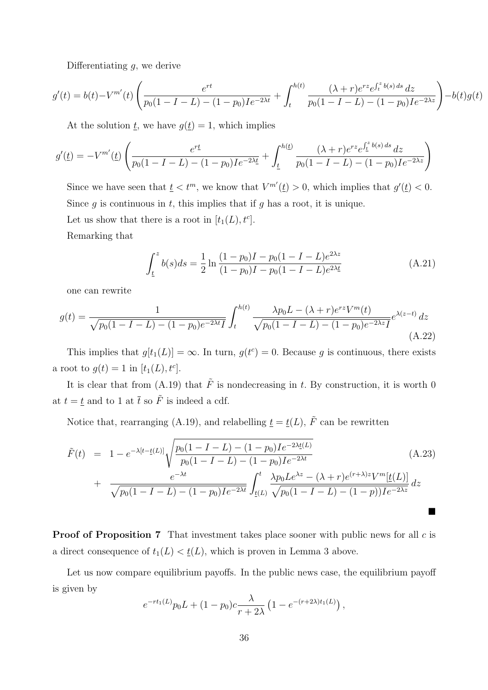Differentiating g, we derive

$$
g'(t) = b(t) - V^{m'}(t) \left( \frac{e^{rt}}{p_0(1 - I - L) - (1 - p_0)Ie^{-2\lambda t}} + \int_t^{h(t)} \frac{(\lambda + r)e^{rz}e^{\int_t^z b(s) ds} dz}{p_0(1 - I - L) - (1 - p_0)Ie^{-2\lambda z}} \right) - b(t)g(t)
$$

At the solution  $\underline{t}$ , we have  $g(\underline{t}) = 1$ , which implies

$$
g'(\underline{t}) = -V^{m'}(\underline{t}) \left( \frac{e^{r\underline{t}}}{p_0(1 - I - L) - (1 - p_0)Ie^{-2\lambda \underline{t}}} + \int_{\underline{t}}^{h(\underline{t})} \frac{(\lambda + r)e^{rz}e^{\int_{\underline{t}}^{z}b(s)ds} dz}{p_0(1 - I - L) - (1 - p_0)Ie^{-2\lambda z}} \right)
$$

Since we have seen that  $t < t^m$ , we know that  $V^{m'}(t) > 0$ , which implies that  $g'(t) < 0$ . Since  $g$  is continuous in  $t$ , this implies that if  $g$  has a root, it is unique.

Let us show that there is a root in  $[t_1(L), t^c]$ .

Remarking that

$$
\int_{\underline{t}}^{z} b(s)ds = \frac{1}{2} \ln \frac{(1 - p_0)I - p_0(1 - I - L)e^{2\lambda z}}{(1 - p_0)I - p_0(1 - I - L)e^{2\lambda \underline{t}}}
$$
(A.21)

one can rewrite

$$
g(t) = \frac{1}{\sqrt{p_0(1 - I - L) - (1 - p_0)e^{-2\lambda t}I}} \int_t^{h(t)} \frac{\lambda p_0 L - (\lambda + r)e^{rz}V^m(t)}{\sqrt{p_0(1 - I - L) - (1 - p_0)e^{-2\lambda z}I}} e^{\lambda(z - t)} dz
$$
\n(A.22)

This implies that  $g[t_1(L)] = \infty$ . In turn,  $g(t^c) = 0$ . Because g is continuous, there exists a root to  $g(t) = 1$  in  $[t_1(L), t^c]$ .

It is clear that from (A.19) that  $\tilde{F}$  is nondecreasing in t. By construction, it is worth 0 at  $t=\underline{t}$  and to 1 at  $\overline{t}$  so  $\tilde{F}$  is indeed a cdf.

Notice that, rearranging (A.19), and relabelling  $\underline{t} = \underline{t}(L)$ ,  $\tilde{F}$  can be rewritten

$$
\tilde{F}(t) = 1 - e^{-\lambda[t - \underline{t}(L)]} \sqrt{\frac{p_0(1 - I - L) - (1 - p_0)I e^{-2\lambda \underline{t}(L)}}{p_0(1 - I - L) - (1 - p_0)I e^{-2\lambda t}}}
$$
\n
$$
+ \frac{e^{-\lambda t}}{\sqrt{p_0(1 - I - L) - (1 - p_0)I e^{-2\lambda t}}} \int_{\underline{t}(L)}^t \frac{\lambda p_0 L e^{\lambda z} - (\lambda + r) e^{(r + \lambda)z} V^m[\underline{t}(L)]}{\sqrt{p_0(1 - I - L) - (1 - p)I e^{-2\lambda z}}} dz
$$
\n
$$
\blacksquare
$$

Proof of Proposition 7 That investment takes place sooner with public news for all c is a direct consequence of  $t_1(L) < \underline{t}(L)$ , which is proven in Lemma 3 above.

Let us now compare equilibrium payoffs. In the public news case, the equilibrium payoff is given by

$$
e^{-rt_1(L)}p_0L + (1-p_0)c\frac{\lambda}{r+2\lambda}\left(1-e^{-(r+2\lambda)t_1(L)}\right),
$$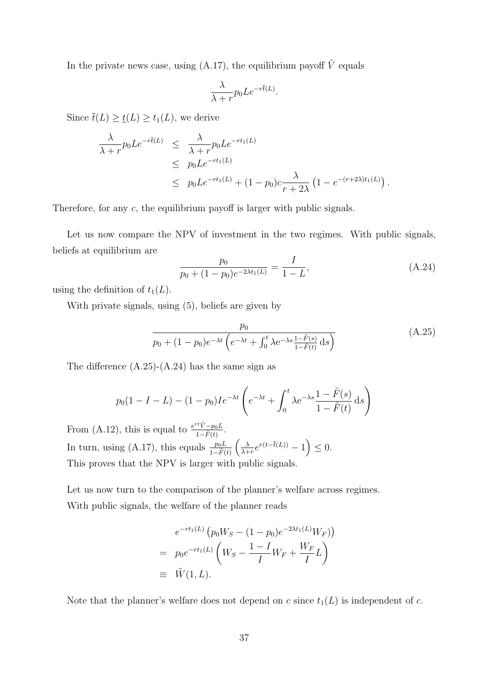In the private news case, using (A.17), the equilibrium payoff  $\tilde{V}$  equals

$$
\frac{\lambda}{\lambda + r} p_0 L e^{-r\overline{t}(L)}
$$

.

Since  $\bar{t}(L) \geq \underline{t}(L) \geq t_1(L)$ , we derive

$$
\frac{\lambda}{\lambda + r} p_0 L e^{-r\overline{t}(L)} \leq \frac{\lambda}{\lambda + r} p_0 L e^{-rt_1(L)} \leq p_0 L e^{-rt_1(L)} \leq p_0 L e^{-rt_1(L)} + (1 - p_0) c \frac{\lambda}{r + 2\lambda} \left(1 - e^{-(r + 2\lambda)t_1(L)}\right).
$$

Therefore, for any c, the equilibrium payoff is larger with public signals.

Let us now compare the NPV of investment in the two regimes. With public signals, beliefs at equilibrium are

$$
\frac{p_0}{p_0 + (1 - p_0)e^{-2\lambda t_1(L)}} = \frac{I}{1 - L},
$$
\n(A.24)

using the definition of  $t_1(L)$ .

With private signals, using (5), beliefs are given by

$$
\frac{p_0}{p_0 + (1 - p_0)e^{-\lambda t} \left(e^{-\lambda t} + \int_0^t \lambda e^{-\lambda s} \frac{1 - \tilde{F}(s)}{1 - \tilde{F}(t)} ds\right)}
$$
(A.25)

The difference  $(A.25)-(A.24)$  has the same sign as

$$
p_0(1 - I - L) - (1 - p_0)I e^{-\lambda t} \left( e^{-\lambda t} + \int_0^t \lambda e^{-\lambda s} \frac{1 - \tilde{F}(s)}{1 - \tilde{F}(t)} ds \right)
$$

From (A.12), this is equal to  $\frac{e^{rt}\tilde{V}-p_0L}{1-\tilde{E}(t)}$  $\frac{\hbar V - p_0 L}{1 - \tilde{F}(t)}$ . In turn, using (A.17), this equals  $\frac{p_0 L}{1-\tilde{F}(t)}$  $\frac{\lambda}{\lambda}$  $\frac{\lambda}{\lambda+r}e^{r(t-\overline{t}(L))}-1\Big)\leq 0.$ This proves that the NPV is larger with public signals.

Let us now turn to the comparison of the planner's welfare across regimes. With public signals, the welfare of the planner reads

$$
e^{-rt_1(L)} \left( p_0 W_S - (1 - p_0) e^{-2\lambda t_1(L)} W_F \right)
$$
  
=  $p_0 e^{-rt_1(L)} \left( W_S - \frac{1 - I}{I} W_F + \frac{W_F}{I} L \right)$   

$$
\equiv \tilde{W}(1, L).
$$

Note that the planner's welfare does not depend on c since  $t_1(L)$  is independent of c.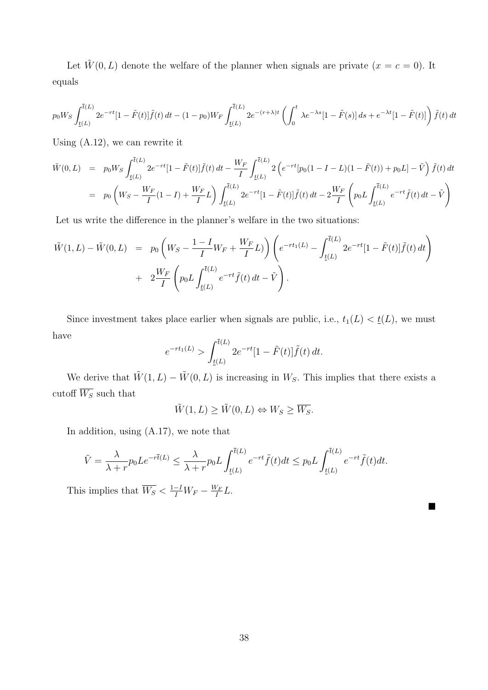Let  $\tilde{W}(0,L)$  denote the welfare of the planner when signals are private  $(x = c = 0)$ . It equals

$$
p_0 W_S \int_{\underline{t}(L)}^{\overline{t}(L)} 2e^{-rt} [1 - \tilde{F}(t)] \tilde{f}(t) dt - (1 - p_0) W_F \int_{\underline{t}(L)}^{\overline{t}(L)} 2e^{-(r+\lambda)t} \left( \int_0^t \lambda e^{-\lambda s} [1 - \tilde{F}(s)] ds + e^{-\lambda t} [1 - \tilde{F}(t)] \right) \tilde{f}(t) dt
$$

Using (A.12), we can rewrite it

$$
\tilde{W}(0,L) = p_0 W_S \int_{\underline{t}(L)}^{\overline{t}(L)} 2e^{-rt} [1 - \tilde{F}(t)] \tilde{f}(t) dt - \frac{W_F}{I} \int_{\underline{t}(L)}^{\overline{t}(L)} 2 \left( e^{-rt} [p_0(1 - I - L)(1 - \tilde{F}(t)) + p_0 L] - \tilde{V} \right) \tilde{f}(t) dt
$$
\n
$$
= p_0 \left( W_S - \frac{W_F}{I} (1 - I) + \frac{W_F}{I} L \right) \int_{\underline{t}(L)}^{\overline{t}(L)} 2e^{-rt} [1 - \tilde{F}(t)] \tilde{f}(t) dt - 2 \frac{W_F}{I} \left( p_0 L \int_{\underline{t}(L)}^{\overline{t}(L)} e^{-rt} \tilde{f}(t) dt - \tilde{V} \right)
$$

Let us write the difference in the planner's welfare in the two situations:

$$
\tilde{W}(1, L) - \tilde{W}(0, L) = p_0 \left( W_S - \frac{1 - I}{I} W_F + \frac{W_F}{I} L) \right) \left( e^{-rt_1(L)} - \int_{\underline{t}(L)}^{\overline{t}(L)} 2e^{-rt} [1 - \tilde{F}(t)] \tilde{f}(t) dt \right) \n+ 2 \frac{W_F}{I} \left( p_0 L \int_{\underline{t}(L)}^{\overline{t}(L)} e^{-rt} \tilde{f}(t) dt - \tilde{V} \right).
$$

Since investment takes place earlier when signals are public, i.e.,  $t_1(L) < \underline{t}(L)$ , we must have

$$
e^{-rt_1(L)} > \int_{\underline{t}(L)}^{\overline{t}(L)} 2e^{-rt}[1 - \tilde{F}(t)]\tilde{f}(t) dt.
$$

We derive that  $\tilde{W}(1, L) - \tilde{W}(0, L)$  is increasing in  $W_S$ . This implies that there exists a cutoff  $\overline{W_S}$  such that

$$
\tilde{W}(1,L) \ge \tilde{W}(0,L) \Leftrightarrow W_S \ge \overline{W_S}.
$$

In addition, using (A.17), we note that

$$
\tilde{V} = \frac{\lambda}{\lambda + r} p_0 L e^{-r\tilde{t}(L)} \le \frac{\lambda}{\lambda + r} p_0 L \int_{\underline{t}(L)}^{\overline{t}(L)} e^{-rt} \tilde{f}(t) dt \le p_0 L \int_{\underline{t}(L)}^{\overline{t}(L)} e^{-rt} \tilde{f}(t) dt.
$$

 $\blacksquare$ 

This implies that  $\overline{W_S} < \frac{1-I}{I} W_F - \frac{W_F}{I}$  $\frac{V_F}{I}L$ .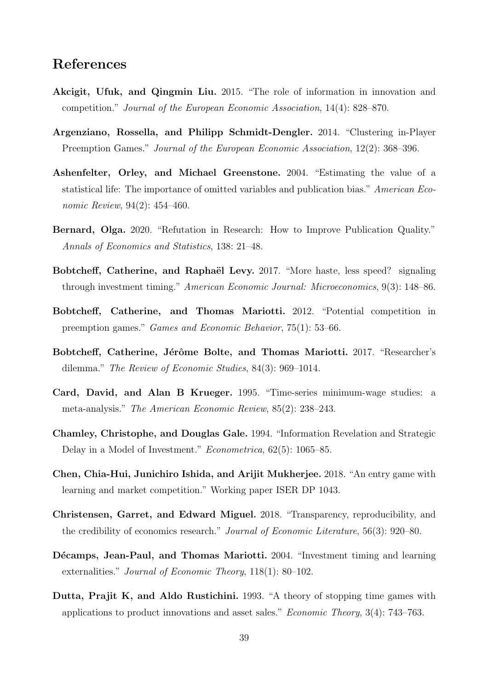## References

- Akcigit, Ufuk, and Qingmin Liu. 2015. "The role of information in innovation and competition." Journal of the European Economic Association, 14(4): 828–870.
- Argenziano, Rossella, and Philipp Schmidt-Dengler. 2014. "Clustering in-Player Preemption Games." Journal of the European Economic Association, 12(2): 368–396.
- Ashenfelter, Orley, and Michael Greenstone. 2004. "Estimating the value of a statistical life: The importance of omitted variables and publication bias." American Economic Review, 94(2): 454–460.
- Bernard, Olga. 2020. "Refutation in Research: How to Improve Publication Quality." Annals of Economics and Statistics, 138: 21–48.
- Bobtcheff, Catherine, and Raphaël Levy. 2017. "More haste, less speed? signaling through investment timing." American Economic Journal: Microeconomics, 9(3): 148–86.
- Bobtcheff, Catherine, and Thomas Mariotti. 2012. "Potential competition in preemption games." Games and Economic Behavior, 75(1): 53–66.
- Bobtcheff, Catherine, Jérôme Bolte, and Thomas Mariotti. 2017. "Researcher's dilemma." The Review of Economic Studies, 84(3): 969–1014.
- Card, David, and Alan B Krueger. 1995. "Time-series minimum-wage studies: a meta-analysis." The American Economic Review, 85(2): 238–243.
- Chamley, Christophe, and Douglas Gale. 1994. "Information Revelation and Strategic Delay in a Model of Investment." Econometrica, 62(5): 1065–85.
- Chen, Chia-Hui, Junichiro Ishida, and Arijit Mukherjee. 2018. "An entry game with learning and market competition." Working paper ISER DP 1043.
- Christensen, Garret, and Edward Miguel. 2018. "Transparency, reproducibility, and the credibility of economics research." Journal of Economic Literature, 56(3): 920–80.
- Décamps, Jean-Paul, and Thomas Mariotti. 2004. "Investment timing and learning externalities." Journal of Economic Theory, 118(1): 80–102.
- Dutta, Prajit K, and Aldo Rustichini. 1993. "A theory of stopping time games with applications to product innovations and asset sales." Economic Theory, 3(4): 743–763.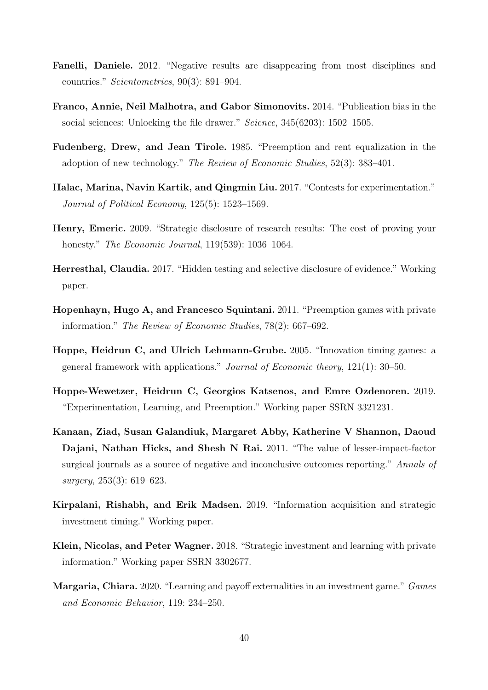- Fanelli, Daniele. 2012. "Negative results are disappearing from most disciplines and countries." Scientometrics, 90(3): 891–904.
- Franco, Annie, Neil Malhotra, and Gabor Simonovits. 2014. "Publication bias in the social sciences: Unlocking the file drawer." Science, 345(6203): 1502-1505.
- Fudenberg, Drew, and Jean Tirole. 1985. "Preemption and rent equalization in the adoption of new technology." The Review of Economic Studies, 52(3): 383–401.
- Halac, Marina, Navin Kartik, and Qingmin Liu. 2017. "Contests for experimentation." Journal of Political Economy, 125(5): 1523–1569.
- Henry, Emeric. 2009. "Strategic disclosure of research results: The cost of proving your honesty." The Economic Journal, 119(539): 1036–1064.
- Herresthal, Claudia. 2017. "Hidden testing and selective disclosure of evidence." Working paper.
- Hopenhayn, Hugo A, and Francesco Squintani. 2011. "Preemption games with private information." The Review of Economic Studies, 78(2): 667–692.
- Hoppe, Heidrun C, and Ulrich Lehmann-Grube. 2005. "Innovation timing games: a general framework with applications." Journal of Economic theory, 121(1): 30–50.
- Hoppe-Wewetzer, Heidrun C, Georgios Katsenos, and Emre Ozdenoren. 2019. "Experimentation, Learning, and Preemption." Working paper SSRN 3321231.
- Kanaan, Ziad, Susan Galandiuk, Margaret Abby, Katherine V Shannon, Daoud Dajani, Nathan Hicks, and Shesh N Rai. 2011. "The value of lesser-impact-factor surgical journals as a source of negative and inconclusive outcomes reporting." Annals of surgery, 253(3): 619–623.
- Kirpalani, Rishabh, and Erik Madsen. 2019. "Information acquisition and strategic investment timing." Working paper.
- Klein, Nicolas, and Peter Wagner. 2018. "Strategic investment and learning with private information." Working paper SSRN 3302677.
- Margaria, Chiara. 2020. "Learning and payoff externalities in an investment game." Games and Economic Behavior, 119: 234–250.